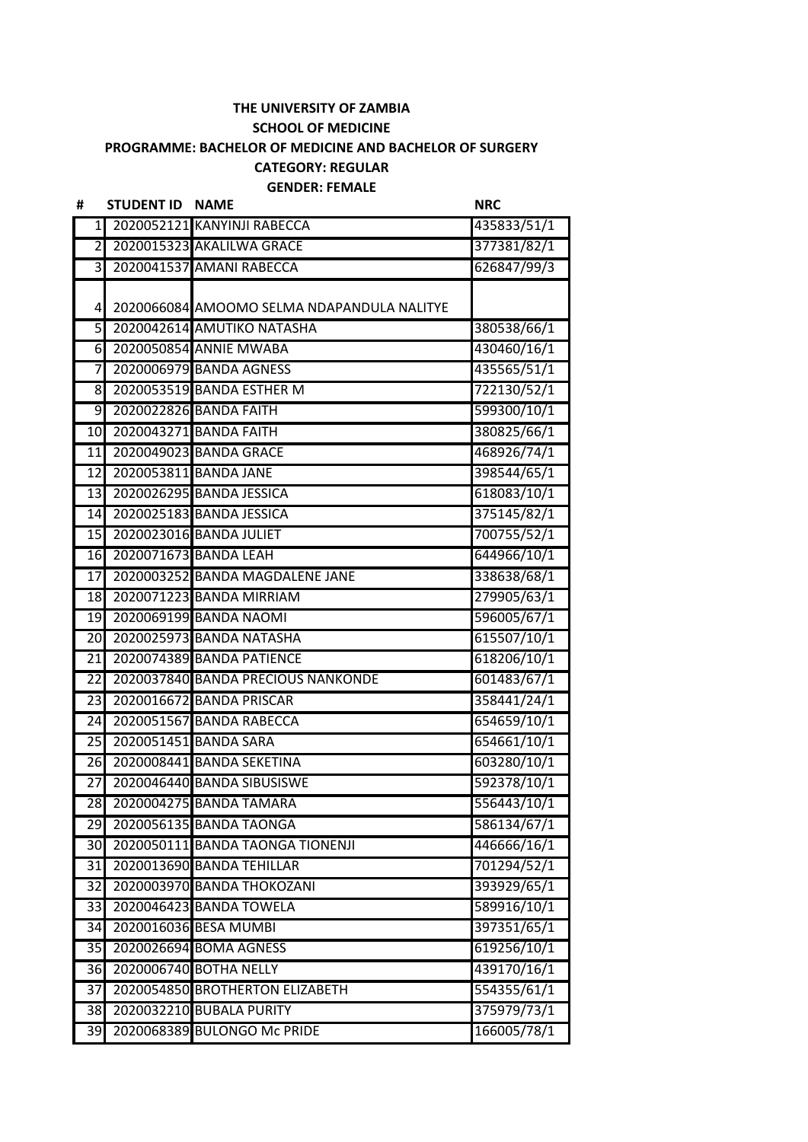## **THE UNIVERSITY OF ZAMBIA SCHOOL OF MEDICINE PROGRAMME: BACHELOR OF MEDICINE AND BACHELOR OF SURGERY CATEGORY: REGULAR**

**GENDER: FEMALE**

| #                       | <b>STUDENT ID</b>        | <b>NAME</b>                                | <b>NRC</b>  |
|-------------------------|--------------------------|--------------------------------------------|-------------|
| $\mathbf{1}$            |                          | 2020052121 KANYINJI RABECCA                | 435833/51/1 |
| $\overline{2}$          |                          | 2020015323 AKALILWA GRACE                  | 377381/82/1 |
| $\overline{\mathsf{c}}$ |                          | 2020041537 AMANI RABECCA                   | 626847/99/3 |
|                         |                          |                                            |             |
| 4                       |                          | 2020066084 AMOOMO SELMA NDAPANDULA NALITYE |             |
| 5                       |                          | 2020042614 AMUTIKO NATASHA                 | 380538/66/1 |
| 6                       |                          | 2020050854 ANNIE MWABA                     | 430460/16/1 |
| $\overline{7}$          |                          | 2020006979 BANDA AGNESS                    | 435565/51/1 |
| 8 <sup>1</sup>          |                          | 2020053519 BANDA ESTHER M                  | 722130/52/1 |
| 9                       |                          | 2020022826 BANDA FAITH                     | 599300/10/1 |
| 10                      |                          | 2020043271 BANDA FAITH                     | 380825/66/1 |
| 11                      |                          | 2020049023 BANDA GRACE                     | 468926/74/1 |
| 12                      |                          | 2020053811 BANDA JANE                      | 398544/65/1 |
| 13                      |                          | 2020026295 BANDA JESSICA                   | 618083/10/1 |
| 14                      |                          | 2020025183 BANDA JESSICA                   | 375145/82/1 |
| $\overline{15}$         |                          | 2020023016 BANDA JULIET                    | 700755/52/1 |
|                         | 16 2020071673 BANDA LEAH |                                            | 644966/10/1 |
| 17                      |                          | 2020003252 BANDA MAGDALENE JANE            | 338638/68/1 |
| 18                      |                          | 2020071223 BANDA MIRRIAM                   | 279905/63/1 |
| 19                      |                          | 2020069199 BANDA NAOMI                     | 596005/67/1 |
| 20                      |                          | 2020025973 BANDA NATASHA                   | 615507/10/1 |
| $\overline{21}$         |                          | 2020074389 BANDA PATIENCE                  | 618206/10/1 |
| 22                      |                          | 2020037840 BANDA PRECIOUS NANKONDE         | 601483/67/1 |
| 23                      |                          | 2020016672 BANDA PRISCAR                   | 358441/24/1 |
| 24                      |                          | 2020051567 BANDA RABECCA                   | 654659/10/1 |
| 25                      |                          | 2020051451 BANDA SARA                      | 654661/10/1 |
| 26                      |                          | 2020008441 BANDA SEKETINA                  | 603280/10/1 |
| $\overline{27}$         |                          | 2020046440 BANDA SIBUSISWE                 | 592378/10/1 |
|                         |                          | 28 2020004275 BANDA TAMARA                 | 556443/10/1 |
| 29                      |                          | 2020056135 BANDA TAONGA                    | 586134/67/1 |
| $\overline{30}$         |                          | 2020050111 BANDA TAONGA TIONENJI           | 446666/16/1 |
| $\overline{31}$         |                          | 2020013690 BANDA TEHILLAR                  | 701294/52/1 |
| 32                      |                          | 2020003970 BANDA THOKOZANI                 | 393929/65/1 |
| 33                      |                          | 2020046423 BANDA TOWELA                    | 589916/10/1 |
| 34                      |                          | 2020016036 BESA MUMBI                      | 397351/65/1 |
| 35                      |                          | 2020026694 BOMA AGNESS                     | 619256/10/1 |
| 36                      |                          | 2020006740 BOTHA NELLY                     | 439170/16/1 |
| 37                      |                          | 2020054850 BROTHERTON ELIZABETH            | 554355/61/1 |
| 38                      |                          | 2020032210 BUBALA PURITY                   | 375979/73/1 |
| 39                      |                          | 2020068389 BULONGO Mc PRIDE                | 166005/78/1 |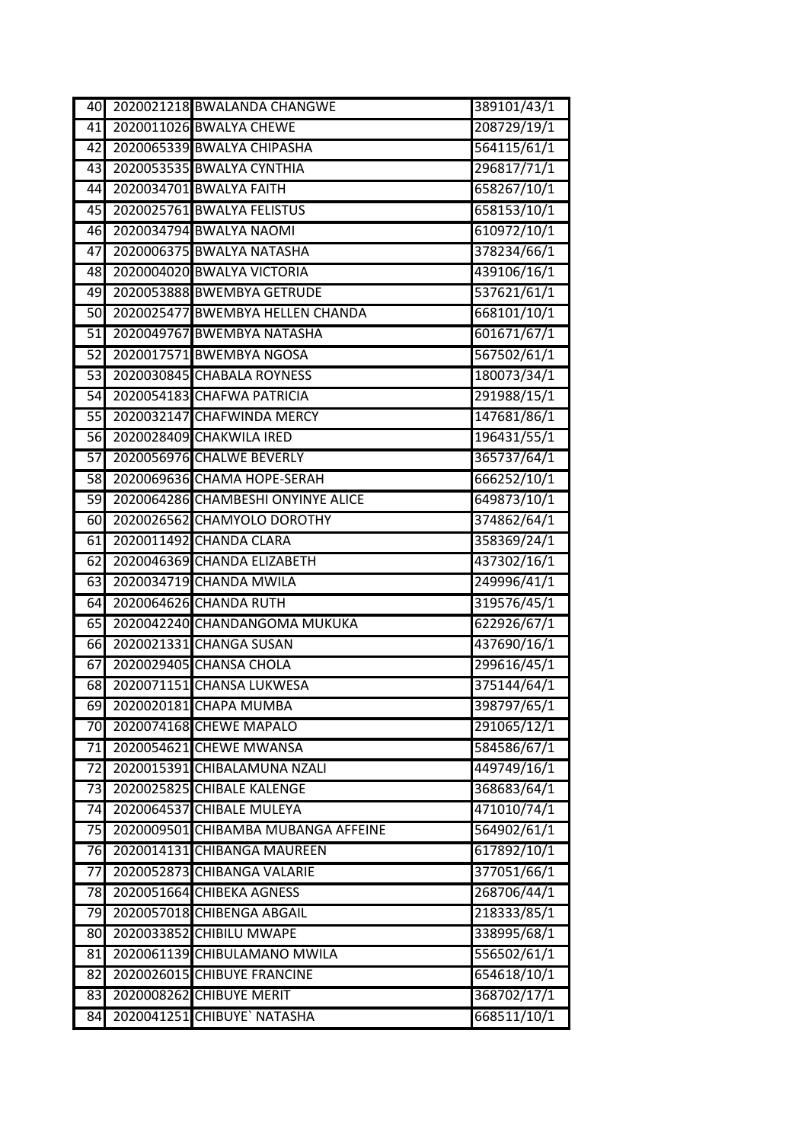| 40              | 2020021218 BWALANDA CHANGWE         | 389101/43/1 |
|-----------------|-------------------------------------|-------------|
| 41              | 2020011026 BWALYA CHEWE             | 208729/19/1 |
| $\overline{42}$ | 2020065339 BWALYA CHIPASHA          | 564115/61/1 |
| 43              | 2020053535 BWALYA CYNTHIA           | 296817/71/1 |
| 44              | 2020034701 BWALYA FAITH             | 658267/10/1 |
| 45              | 2020025761 BWALYA FELISTUS          | 658153/10/1 |
| 46              | 2020034794 BWALYA NAOMI             | 610972/10/1 |
| 47              | 2020006375 BWALYA NATASHA           | 378234/66/1 |
| $\frac{1}{8}$   | 2020004020 BWALYA VICTORIA          | 439106/16/1 |
| 49              | 2020053888 BWEMBYA GETRUDE          | 537621/61/1 |
| 50              | 2020025477 BWEMBYA HELLEN CHANDA    | 668101/10/1 |
| $\overline{51}$ | 2020049767 BWEMBYA NATASHA          | 601671/67/1 |
| 52              | 2020017571 BWEMBYA NGOSA            | 567502/61/1 |
| $\overline{53}$ | 2020030845 CHABALA ROYNESS          | 180073/34/1 |
| 54              | 2020054183 CHAFWA PATRICIA          | 291988/15/1 |
| 55              | 2020032147 CHAFWINDA MERCY          | 147681/86/1 |
| 56              | 2020028409 CHAKWILA IRED            | 196431/55/1 |
| 57              | 2020056976 CHALWE BEVERLY           | 365737/64/1 |
| 58              | 2020069636 СНАМА НОРЕ-SERAH         | 666252/10/1 |
| 59              | 2020064286 CHAMBESHI ONYINYE ALICE  | 649873/10/1 |
| 60              | 2020026562 CHAMYOLO DOROTHY         | 374862/64/1 |
| 61              | 2020011492 CHANDA CLARA             | 358369/24/1 |
| 62              | 2020046369 CHANDA ELIZABETH         | 437302/16/1 |
| 63              | 2020034719 CHANDA MWILA             | 249996/41/1 |
| 64              | 2020064626 CHANDA RUTH              | 319576/45/1 |
| 65              | 2020042240 CHANDANGOMA MUKUKA       | 622926/67/1 |
| 66              | 2020021331 CHANGA SUSAN             | 437690/16/1 |
| 67              | 2020029405 CHANSA CHOLA             | 299616/45/1 |
| 68              | 2020071151 CHANSA LUKWESA           | 375144/64/1 |
| 69              | 2020020181 CHAPA MUMBA              | 398797/65/1 |
| 70              | 2020074168 CHEWE MAPALO             | 291065/12/1 |
| 71              | 2020054621 CHEWE MWANSA             | 584586/67/1 |
| 72              | 2020015391 CHIBALAMUNA NZALI        | 449749/16/1 |
| 73              | 2020025825 CHIBALE KALENGE          | 368683/64/1 |
| 74              | 2020064537 CHIBALE MULEYA           | 471010/74/1 |
| 75              | 2020009501 CHIBAMBA MUBANGA AFFEINE | 564902/61/1 |
| 76              | 2020014131 CHIBANGA MAUREEN         | 617892/10/1 |
| 77              | 2020052873 CHIBANGA VALARIE         | 377051/66/1 |
| 78              | 2020051664 CHIBEKA AGNESS           | 268706/44/1 |
| 79              | 2020057018 CHIBENGA ABGAIL          | 218333/85/1 |
| 80              | 2020033852 CHIBILU MWAPE            | 338995/68/1 |
| 81              | 2020061139 CHIBULAMANO MWILA        | 556502/61/1 |
| 82              | 2020026015 CHIBUYE FRANCINE         | 654618/10/1 |
| 83              | 2020008262 CHIBUYE MERIT            | 368702/17/1 |
| 84              | 2020041251 CHIBUYE` NATASHA         | 668511/10/1 |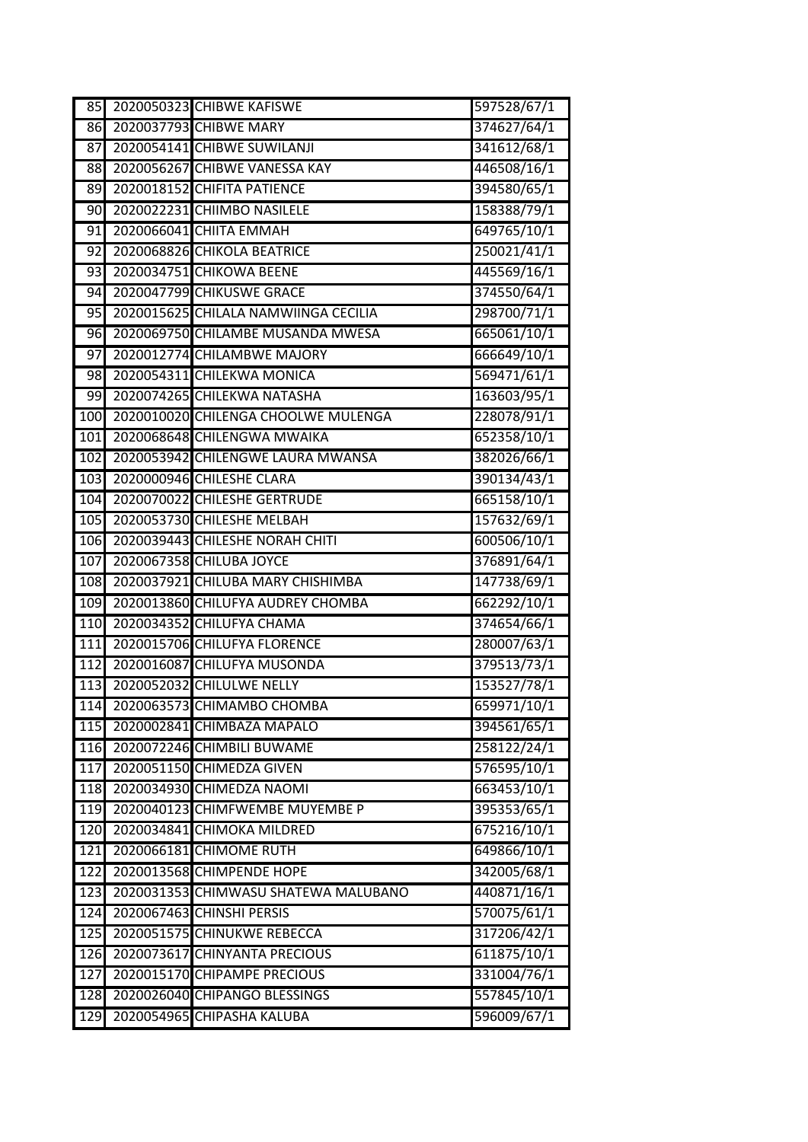| 85              | 2020050323 CHIBWE KAFISWE            | 597528/67/1 |
|-----------------|--------------------------------------|-------------|
| 86              | 2020037793 CHIBWE MARY               | 374627/64/1 |
| $\overline{87}$ | 2020054141 CHIBWE SUWILANJI          | 341612/68/1 |
| 88              | 2020056267 CHIBWE VANESSA KAY        | 446508/16/1 |
| 89              | 2020018152 CHIFITA PATIENCE          | 394580/65/1 |
| 90              | 2020022231 CHIIMBO NASILELE          | 158388/79/1 |
| 91              | 2020066041 СНІІТА ЕММАН              | 649765/10/1 |
| 92              | 2020068826 CHIKOLA BEATRICE          | 250021/41/1 |
| 93              | 2020034751 CHIKOWA BEENE             | 445569/16/1 |
| 94              | 2020047799 CHIKUSWE GRACE            | 374550/64/1 |
| 95              | 2020015625 CHILALA NAMWIINGA CECILIA | 298700/71/1 |
| 96              | 2020069750 CHILAMBE MUSANDA MWESA    | 665061/10/1 |
| 97              | 2020012774 CHILAMBWE MAJORY          | 666649/10/1 |
| 98              | 2020054311 CHILEKWA MONICA           | 569471/61/1 |
| 99              | 2020074265 CHILEKWA NATASHA          | 163603/95/1 |
| 100             | 2020010020 CHILENGA CHOOLWE MULENGA  | 228078/91/1 |
| 101             | 2020068648 CHILENGWA MWAIKA          | 652358/10/1 |
| 102             | 2020053942 CHILENGWE LAURA MWANSA    | 382026/66/1 |
| 103             | 2020000946 CHILESHE CLARA            | 390134/43/1 |
| 104             | 2020070022 CHILESHE GERTRUDE         | 665158/10/1 |
| 105             | 2020053730 CHILESHE MELBAH           | 157632/69/1 |
| 106             | 2020039443 CHILESHE NORAH CHITI      | 600506/10/1 |
| 107             | 2020067358 CHILUBA JOYCE             | 376891/64/1 |
| 108             | 2020037921 CHILUBA MARY CHISHIMBA    | 147738/69/1 |
| 109             | 2020013860 CHILUFYA AUDREY CHOMBA    | 662292/10/1 |
| 110             | 2020034352 CHILUFYA CHAMA            | 374654/66/1 |
| 111             | 2020015706 CHILUFYA FLORENCE         | 280007/63/1 |
| 112             | 2020016087 CHILUFYA MUSONDA          | 379513/73/1 |
| 113             | 2020052032 CHILULWE NELLY            | 153527/78/1 |
| 114             | 2020063573 CHIMAMBO CHOMBA           | 659971/10/1 |
| 115             | 2020002841 CHIMBAZA MAPALO           | 394561/65/1 |
| 116             | 2020072246 CHIMBILI BUWAME           | 258122/24/1 |
| 117             | 2020051150 CHIMEDZA GIVEN            | 576595/10/1 |
| 118             | 2020034930 CHIMEDZA NAOMI            | 663453/10/1 |
| 119             | 2020040123 CHIMFWEMBE MUYEMBE P      | 395353/65/1 |
| 120             | 2020034841 CHIMOKA MILDRED           | 675216/10/1 |
| $\boxed{121}$   | 2020066181 CHIMOME RUTH              | 649866/10/1 |
| 122             | 2020013568 CHIMPENDE HOPE            | 342005/68/1 |
| 123             | 2020031353 CHIMWASU SHATEWA MALUBANO | 440871/16/1 |
| 124             | 2020067463 CHINSHI PERSIS            | 570075/61/1 |
| 125             | 2020051575 CHINUKWE REBECCA          | 317206/42/1 |
| 126             | 2020073617 CHINYANTA PRECIOUS        | 611875/10/1 |
| 127             | 2020015170 CHIPAMPE PRECIOUS         | 331004/76/1 |
| 128             | 2020026040 CHIPANGO BLESSINGS        | 557845/10/1 |
| 129             | 2020054965 CHIPASHA KALUBA           | 596009/67/1 |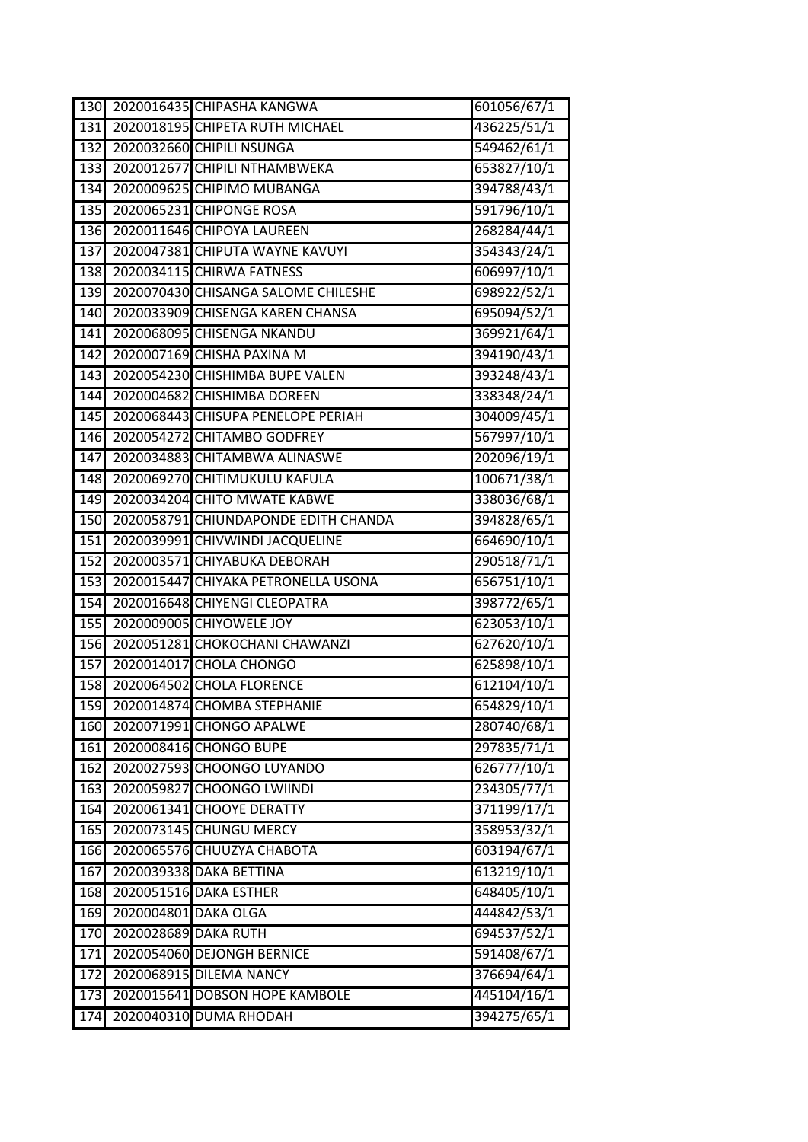| 130              |                      | 2020016435 CHIPASHA KANGWA           | 601056/67/1 |
|------------------|----------------------|--------------------------------------|-------------|
| 131              |                      | 2020018195 CHIPETA RUTH MICHAEL      | 436225/51/1 |
| 132              |                      | 2020032660 CHIPILI NSUNGA            | 549462/61/1 |
| 133              |                      | 2020012677 CHIPILI NTHAMBWEKA        | 653827/10/1 |
| 134              |                      | 2020009625 CHIPIMO MUBANGA           | 394788/43/1 |
| 135              |                      | 2020065231 CHIPONGE ROSA             | 591796/10/1 |
| 136              |                      | 2020011646 CHIPOYA LAUREEN           | 268284/44/1 |
| 137              |                      | 2020047381 CHIPUTA WAYNE KAVUYI      | 354343/24/1 |
| 138              |                      | 2020034115 CHIRWA FATNESS            | 606997/10/1 |
| 139              |                      | 2020070430 CHISANGA SALOME CHILESHE  | 698922/52/1 |
| 140              |                      | 2020033909 CHISENGA KAREN CHANSA     | 695094/52/1 |
| 141              |                      | 2020068095 CHISENGA NKANDU           | 369921/64/1 |
| 142              |                      | 2020007169 CHISHA PAXINA M           | 394190/43/1 |
| 143              |                      | 2020054230 CHISHIMBA BUPE VALEN      | 393248/43/1 |
| 144              |                      | 2020004682 CHISHIMBA DOREEN          | 338348/24/1 |
| 145              |                      | 2020068443 CHISUPA PENELOPE PERIAH   | 304009/45/1 |
| 146              |                      | 2020054272 CHITAMBO GODFREY          | 567997/10/1 |
| 147              |                      | 2020034883 CHITAMBWA ALINASWE        | 202096/19/1 |
| 148              |                      | 2020069270 CHITIMUKULU KAFULA        | 100671/38/1 |
| 149              |                      | 2020034204 CHITO MWATE KABWE         | 338036/68/1 |
| 150              |                      | 2020058791 CHIUNDAPONDE EDITH CHANDA | 394828/65/1 |
| 151              |                      | 2020039991 CHIVWINDI JACQUELINE      | 664690/10/1 |
| 152              |                      | 2020003571 CHIYABUKA DEBORAH         | 290518/71/1 |
| 153              |                      | 2020015447 CHIYAKA PETRONELLA USONA  | 656751/10/1 |
| 154              |                      | 2020016648 CHIYENGI CLEOPATRA        | 398772/65/1 |
| 155              |                      | 2020009005 CHIYOWELE JOY             | 623053/10/1 |
| 156              |                      | 2020051281 CHOKOCHANI CHAWANZI       | 627620/10/1 |
| 157              |                      | 2020014017 CHOLA CHONGO              | 625898/10/1 |
| 158              |                      | 2020064502 CHOLA FLORENCE            | 612104/10/1 |
| 159              |                      | 2020014874 CHOMBA STEPHANIE          | 654829/10/1 |
| 160              |                      | 2020071991 CHONGO APALWE             | 280740/68/1 |
| 161              |                      | 2020008416 CHONGO BUPE               | 297835/71/1 |
| 162              |                      | 2020027593 CHOONGO LUYANDO           | 626777/10/1 |
| 163              |                      | 2020059827 CHOONGO LWIINDI           | 234305/77/1 |
| 164              |                      | 2020061341 CHOOYE DERATTY            | 371199/17/1 |
| 165              |                      | 2020073145 CHUNGU MERCY              | 358953/32/1 |
| 166              |                      | 2020065576 CHUUZYA CHABOTA           | 603194/67/1 |
| $16\overline{7}$ |                      | 2020039338 DAKA BETTINA              | 613219/10/1 |
| 168              |                      | 2020051516 DAKA ESTHER               | 648405/10/1 |
| 169              | 2020004801 DAKA OLGA |                                      | 444842/53/1 |
| 170              | 2020028689 DAKA RUTH |                                      | 694537/52/1 |
| 171              |                      | 2020054060 DEJONGH BERNICE           | 591408/67/1 |
| 172              |                      | 2020068915 DILEMA NANCY              | 376694/64/1 |
| 173              |                      | 2020015641 DOBSON HOPE KAMBOLE       | 445104/16/1 |
| 174              |                      | 2020040310 DUMA RHODAH               | 394275/65/1 |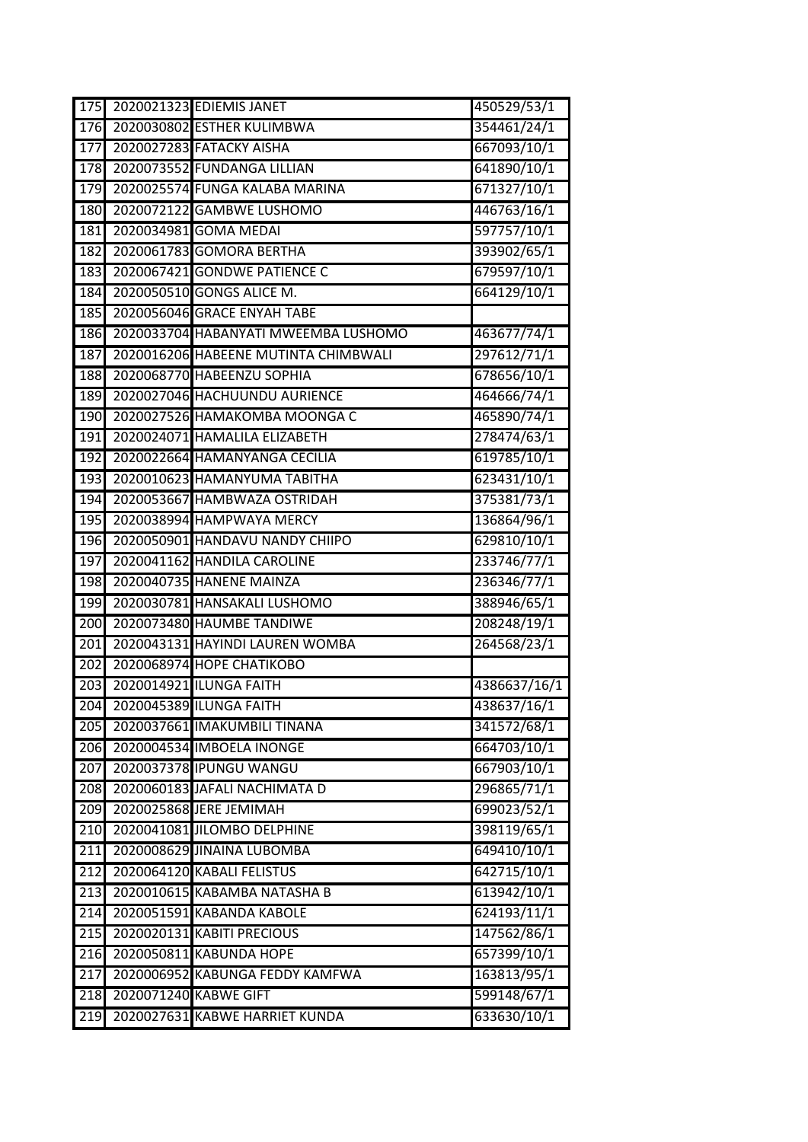| 175              | 2020021323 EDIEMIS JANET             | 450529/53/1  |
|------------------|--------------------------------------|--------------|
| 176              | 2020030802 ESTHER KULIMBWA           | 354461/24/1  |
| 177              | 2020027283 FATACKY AISHA             | 667093/10/1  |
| 178              | 2020073552 FUNDANGA LILLIAN          | 641890/10/1  |
| 179              | 2020025574 FUNGA KALABA MARINA       | 671327/10/1  |
| 180              | 2020072122 GAMBWE LUSHOMO            | 446763/16/1  |
| 181              | 2020034981 GOMA MEDAI                | 597757/10/1  |
| 182              | 2020061783 GOMORA BERTHA             | 393902/65/1  |
| 183              | 2020067421 GONDWE PATIENCE C         | 679597/10/1  |
| 184              | 2020050510 GONGS ALICE M.            | 664129/10/1  |
| 185              | 2020056046 GRACE ENYAH TABE          |              |
| 186              | 2020033704 HABANYATI MWEEMBA LUSHOMO | 463677/74/1  |
| 187              | 2020016206 HABEENE MUTINTA CHIMBWALI | 297612/71/1  |
| 188              | 2020068770 HABEENZU SOPHIA           | 678656/10/1  |
| 189              | 2020027046 HACHUUNDU AURIENCE        | 464666/74/1  |
| 190              | 2020027526 HAMAKOMBA MOONGA C        | 465890/74/1  |
| 191              | 2020024071 HAMALILA ELIZABETH        | 278474/63/1  |
| 192              | 2020022664 HAMANYANGA CECILIA        | 619785/10/1  |
| 193              | 2020010623 HAMANYUMA TABITHA         | 623431/10/1  |
| 194              | 2020053667 HAMBWAZA OSTRIDAH         | 375381/73/1  |
| 195              | 2020038994 HAMPWAYA MERCY            | 136864/96/1  |
| 196              | 2020050901 HANDAVU NANDY CHIIPO      | 629810/10/1  |
| 197              | 2020041162 HANDILA CAROLINE          | 233746/77/1  |
| 198              | 2020040735 HANENE MAINZA             | 236346/77/1  |
| 199              | 2020030781 HANSAKALI LUSHOMO         | 388946/65/1  |
| 200              | 2020073480 HAUMBE TANDIWE            | 208248/19/1  |
| 201              | 2020043131 HAYINDI LAUREN WOMBA      | 264568/23/1  |
| 202              | 2020068974 HOPE CHATIKOBO            |              |
| 203              | 2020014921 ILUNGA FAITH              | 4386637/16/1 |
| 204              | 2020045389 ILUNGA FAITH              | 438637/16/1  |
| 205              | 2020037661 IMAKUMBILI TINANA         | 341572/68/1  |
| 206              | 2020004534 IMBOELA INONGE            | 664703/10/1  |
| 207              | 2020037378 IPUNGU WANGU              | 667903/10/1  |
| 208              | 2020060183 JAFALI NACHIMATA D        | 296865/71/1  |
| 209              | 2020025868 JERE JEMIMAH              | 699023/52/1  |
| 210              | 2020041081 JILOMBO DELPHINE          | 398119/65/1  |
| 211              | 2020008629 JINAINA LUBOMBA           | 649410/10/1  |
| $\overline{212}$ | 2020064120 KABALI FELISTUS           | 642715/10/1  |
| $\overline{213}$ | 2020010615 KABAMBA NATASHA B         | 613942/10/1  |
| 214              | 2020051591 KABANDA KABOLE            | 624193/11/1  |
| 215              | 2020020131 KABITI PRECIOUS           | 147562/86/1  |
| 216              | 2020050811 KABUNDA HOPE              | 657399/10/1  |
| 217              | 2020006952 KABUNGA FEDDY KAMFWA      | 163813/95/1  |
| 218              | 2020071240 KABWE GIFT                | 599148/67/1  |
| 219              | 2020027631 KABWE HARRIET KUNDA       | 633630/10/1  |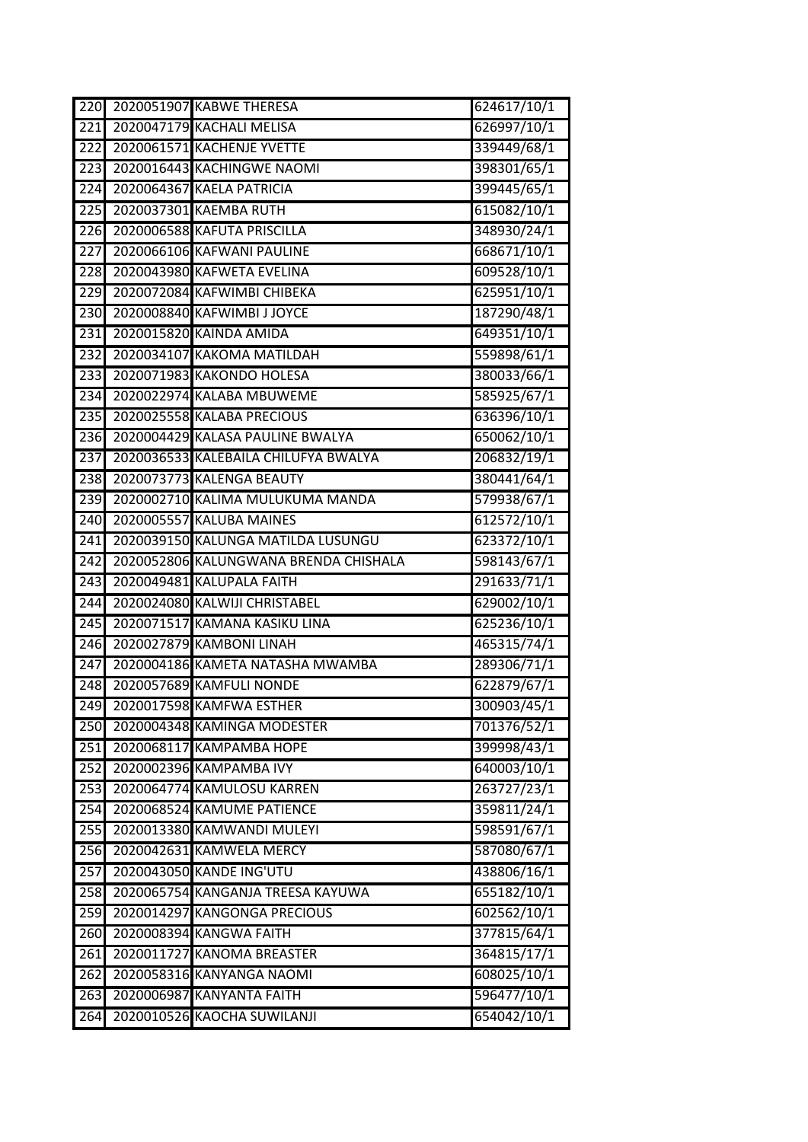| $\overline{220}$ | 2020051907 KABWE THERESA              | 624617/10/1 |
|------------------|---------------------------------------|-------------|
| $\overline{221}$ | 2020047179 KACHALI MELISA             | 626997/10/1 |
| 222              | 2020061571 KACHENJE YVETTE            | 339449/68/1 |
| $\overline{223}$ | 2020016443 KACHINGWE NAOMI            | 398301/65/1 |
| $\overline{224}$ | 2020064367 KAELA PATRICIA             | 399445/65/1 |
| 225              | 2020037301 KAEMBA RUTH                | 615082/10/1 |
| 226              | 2020006588 KAFUTA PRISCILLA           | 348930/24/1 |
| $\overline{227}$ | 2020066106 KAFWANI PAULINE            | 668671/10/1 |
| 228              | 2020043980 KAFWETA EVELINA            | 609528/10/1 |
| 229              | 2020072084 KAFWIMBI CHIBEKA           | 625951/10/1 |
| 230              | 2020008840 KAFWIMBI J JOYCE           | 187290/48/1 |
| 231              | 2020015820 KAINDA AMIDA               | 649351/10/1 |
| 232              | 2020034107 KAKOMA MATILDAH            | 559898/61/1 |
| 233              | 2020071983 KAKONDO HOLESA             | 380033/66/1 |
| 234              | 2020022974 KALABA MBUWEME             | 585925/67/1 |
| 235              | 2020025558 KALABA PRECIOUS            | 636396/10/1 |
| $\overline{236}$ | 2020004429 KALASA PAULINE BWALYA      | 650062/10/1 |
| 237              | 2020036533 KALEBAILA CHILUFYA BWALYA  | 206832/19/1 |
| 238              | 2020073773 KALENGA BEAUTY             | 380441/64/1 |
| 239              | 2020002710 KALIMA MULUKUMA MANDA      | 579938/67/1 |
| 240              | 2020005557 KALUBA MAINES              | 612572/10/1 |
| 241              | 2020039150 KALUNGA MATILDA LUSUNGU    | 623372/10/1 |
| 242              | 2020052806 KALUNGWANA BRENDA CHISHALA | 598143/67/1 |
| 243              | 2020049481 KALUPALA FAITH             | 291633/71/1 |
| 244              | 2020024080 KALWIJI CHRISTABEL         | 629002/10/1 |
| $\overline{245}$ | 2020071517 KAMANA KASIKU LINA         | 625236/10/1 |
| 246              | 2020027879 KAMBONI LINAH              | 465315/74/1 |
| $\overline{247}$ | 2020004186 KAMETA NATASHA MWAMBA      | 289306/71/1 |
| 248              | 2020057689 KAMFULI NONDE              | 622879/67/1 |
| 249              | 2020017598 KAMFWA ESTHER              | 300903/45/1 |
| 250              | 2020004348 KAMINGA MODESTER           | 701376/52/1 |
| 251              | 2020068117 КАМРАМВА НОРЕ              | 399998/43/1 |
| 252              | 2020002396 KAMPAMBA IVY               | 640003/10/1 |
| 253              | 2020064774 KAMULOSU KARREN            | 263727/23/1 |
| $\overline{254}$ | 2020068524 KAMUME PATIENCE            | 359811/24/1 |
| 255              | 2020013380 KAMWANDI MULEYI            | 598591/67/1 |
| 256              | 2020042631 KAMWELA MERCY              | 587080/67/1 |
| 257              | 2020043050 KANDE ING'UTU              | 438806/16/1 |
| 258              | 2020065754 KANGANJA TREESA KAYUWA     | 655182/10/1 |
| 259              | 2020014297 KANGONGA PRECIOUS          | 602562/10/1 |
| 260              | 2020008394 KANGWA FAITH               | 377815/64/1 |
| 261              | 2020011727 KANOMA BREASTER            | 364815/17/1 |
| 262              | 2020058316 KANYANGA NAOMI             | 608025/10/1 |
| 263              | 2020006987 KANYANTA FAITH             | 596477/10/1 |
| 264              | 2020010526 KAOCHA SUWILANJI           | 654042/10/1 |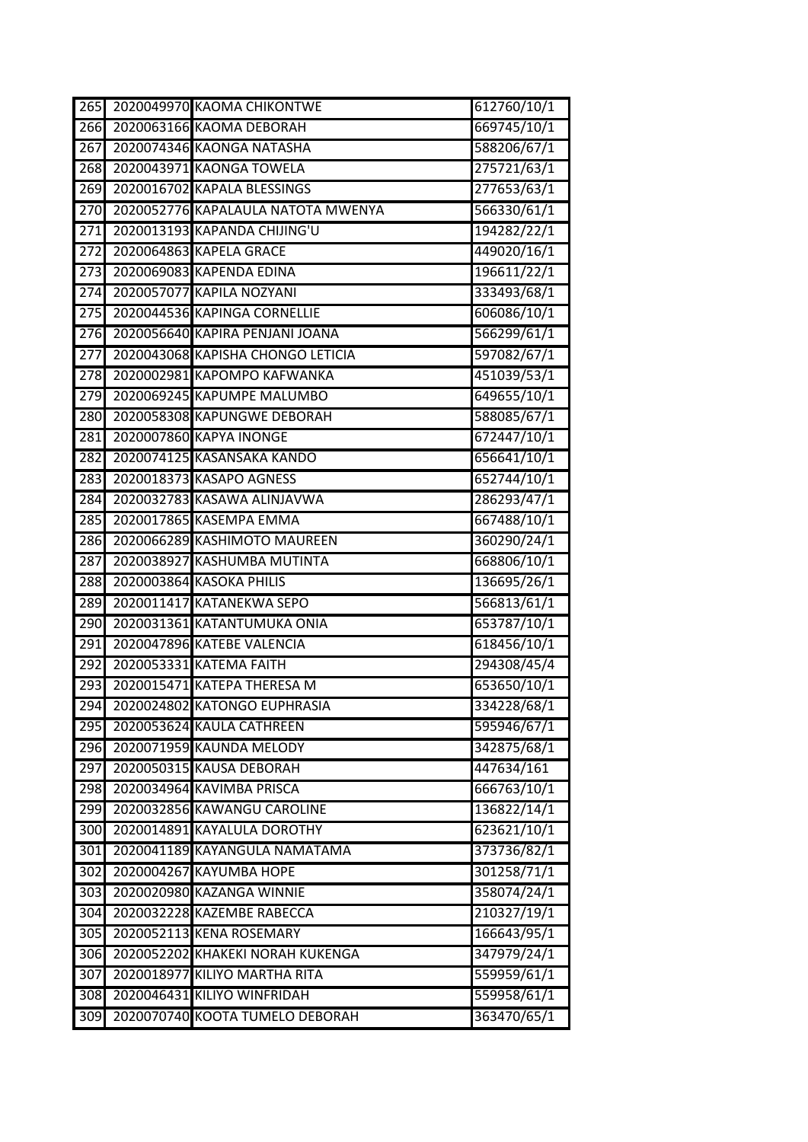| $\overline{265}$ | 2020049970 KAOMA CHIKONTWE         | 612760/10/1 |
|------------------|------------------------------------|-------------|
| $\overline{266}$ | 2020063166 KAOMA DEBORAH           | 669745/10/1 |
| 267              | 2020074346 KAONGA NATASHA          | 588206/67/1 |
| 268              | 2020043971 KAONGA TOWELA           | 275721/63/1 |
| 269              | 2020016702 KAPALA BLESSINGS        | 277653/63/1 |
| 270              | 2020052776 KAPALAULA NATOTA MWENYA | 566330/61/1 |
| $\overline{271}$ | 2020013193 KAPANDA CHIJING'U       | 194282/22/1 |
| 272              | 2020064863 KAPELA GRACE            | 449020/16/1 |
| 273              | 2020069083 KAPENDA EDINA           | 196611/22/1 |
| 274              | 2020057077 KAPILA NOZYANI          | 333493/68/1 |
| $\overline{275}$ | 2020044536 KAPINGA CORNELLIE       | 606086/10/1 |
| 276              | 2020056640 KAPIRA PENJANI JOANA    | 566299/61/1 |
| 277              | 2020043068 KAPISHA CHONGO LETICIA  | 597082/67/1 |
| 278              | 2020002981 KAPOMPO KAFWANKA        | 451039/53/1 |
| 279              | 2020069245 KAPUMPE MALUMBO         | 649655/10/1 |
| 280              | 2020058308 KAPUNGWE DEBORAH        | 588085/67/1 |
| 281              | 2020007860 KAPYA INONGE            | 672447/10/1 |
| 282              | 2020074125 KASANSAKA KANDO         | 656641/10/1 |
| 283              | 2020018373 KASAPO AGNESS           | 652744/10/1 |
| 284              | 2020032783 KASAWA ALINJAVWA        | 286293/47/1 |
| 285              | 2020017865 KASEMPA EMMA            | 667488/10/1 |
| 286              | 2020066289 KASHIMOTO MAUREEN       | 360290/24/1 |
| 287              | 2020038927 KASHUMBA MUTINTA        | 668806/10/1 |
| 288              | 2020003864 KASOKA PHILIS           | 136695/26/1 |
| 289              | 2020011417 KATANEKWA SEPO          | 566813/61/1 |
| 290              | 2020031361 KATANTUMUKA ONIA        | 653787/10/1 |
| 291              | 2020047896 KATEBE VALENCIA         | 618456/10/1 |
| 292              | 2020053331 KATEMA FAITH            | 294308/45/4 |
| 293              | 2020015471 KATEPA THERESA M        | 653650/10/1 |
| 294              | 2020024802 KATONGO EUPHRASIA       | 334228/68/1 |
| 295              | 2020053624 KAULA CATHREEN          | 595946/67/1 |
| 296              | 2020071959 KAUNDA MELODY           | 342875/68/1 |
| 297              | 2020050315 KAUSA DEBORAH           | 447634/161  |
| 298              | 2020034964 KAVIMBA PRISCA          | 666763/10/1 |
| 299              | 2020032856 KAWANGU CAROLINE        | 136822/14/1 |
| 300              | 2020014891 KAYALULA DOROTHY        | 623621/10/1 |
| 301              | 2020041189 KAYANGULA NAMATAMA      | 373736/82/1 |
| 302              | 2020004267 KAYUMBA HOPE            | 301258/71/1 |
| 303              | 2020020980 KAZANGA WINNIE          | 358074/24/1 |
| 304              | 2020032228 KAZEMBE RABECCA         | 210327/19/1 |
| 305              | 2020052113 KENA ROSEMARY           | 166643/95/1 |
| 306              | 2020052202 KHAKEKI NORAH KUKENGA   | 347979/24/1 |
| 307              | 2020018977 KILIYO MARTHA RITA      | 559959/61/1 |
| 308              | 2020046431 KILIYO WINFRIDAH        | 559958/61/1 |
| 309              | 2020070740 KOOTA TUMELO DEBORAH    | 363470/65/1 |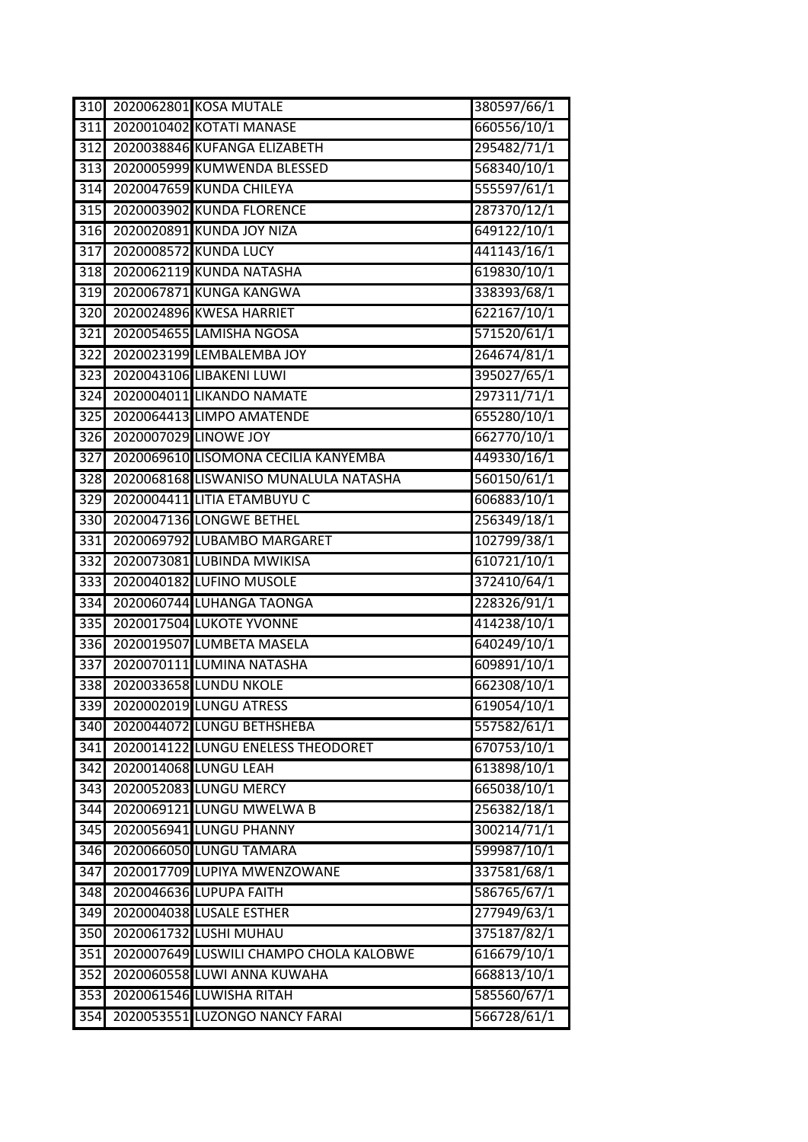| 310              |                       | 2020062801 KOSA MUTALE                  | 380597/66/1 |
|------------------|-----------------------|-----------------------------------------|-------------|
| 311              |                       | 2020010402 KOTATI MANASE                | 660556/10/1 |
| 312              |                       | 2020038846 KUFANGA ELIZABETH            | 295482/71/1 |
| $\overline{313}$ |                       | 2020005999 KUMWENDA BLESSED             | 568340/10/1 |
| 314              |                       | 2020047659 KUNDA CHILEYA                | 555597/61/1 |
| 315              |                       | 2020003902 KUNDA FLORENCE               | 287370/12/1 |
| 316              |                       | 2020020891 KUNDA JOY NIZA               | 649122/10/1 |
| 317              |                       | 2020008572 KUNDA LUCY                   | 441143/16/1 |
| 318              |                       | 2020062119 KUNDA NATASHA                | 619830/10/1 |
| 319              |                       | 2020067871 KUNGA KANGWA                 | 338393/68/1 |
| 320              |                       | 2020024896 KWESA HARRIET                | 622167/10/1 |
| 321              |                       | 2020054655 LAMISHA NGOSA                | 571520/61/1 |
| $\overline{322}$ |                       | 2020023199 LEMBALEMBA JOY               | 264674/81/1 |
| 323              |                       | 2020043106 LIBAKENI LUWI                | 395027/65/1 |
| 324              |                       | 2020004011 LIKANDO NAMATE               | 297311/71/1 |
| $\overline{325}$ |                       | 2020064413 LIMPO AMATENDE               | 655280/10/1 |
| 326              | 2020007029 LINOWE JOY |                                         | 662770/10/1 |
| 327              |                       | 2020069610 LISOMONA CECILIA KANYEMBA    | 449330/16/1 |
| 328              |                       | 2020068168 LISWANISO MUNALULA NATASHA   | 560150/61/1 |
| 329              |                       | 2020004411 LITIA ETAMBUYU C             | 606883/10/1 |
| 330              |                       | 2020047136 LONGWE BETHEL                | 256349/18/1 |
| 331              |                       | 2020069792 LUBAMBO MARGARET             | 102799/38/1 |
| $\overline{332}$ |                       | 2020073081 LUBINDA MWIKISA              | 610721/10/1 |
| $\overline{333}$ |                       | 2020040182 LUFINO MUSOLE                | 372410/64/1 |
| 334              |                       | 2020060744 LUHANGA TAONGA               | 228326/91/1 |
| 335              |                       | <b>2020017504 LUKOTE YVONNE</b>         | 414238/10/1 |
| 336              |                       | 2020019507 LUMBETA MASELA               | 640249/10/1 |
| $\overline{337}$ |                       | 2020070111 LUMINA NATASHA               | 609891/10/1 |
| 338              |                       | 2020033658 LUNDU NKOLE                  | 662308/10/1 |
| 339              |                       | 2020002019 LUNGU ATRESS                 | 619054/10/1 |
| 340              |                       | 2020044072 LUNGU BETHSHEBA              | 557582/61/1 |
| 341              |                       | 2020014122 LUNGU ENELESS THEODORET      | 670753/10/1 |
| 342              |                       | 2020014068 LUNGU LEAH                   | 613898/10/1 |
| 343              |                       | 2020052083 LUNGU MERCY                  | 665038/10/1 |
| 344              |                       | 2020069121 LUNGU MWELWA B               | 256382/18/1 |
| 345              |                       | 2020056941 LUNGU PHANNY                 | 300214/71/1 |
| 346              |                       | 2020066050 LUNGU TAMARA                 | 599987/10/1 |
| 347              |                       | 2020017709 LUPIYA MWENZOWANE            | 337581/68/1 |
| 348              |                       | 2020046636 LUPUPA FAITH                 | 586765/67/1 |
| 349              |                       | 2020004038 LUSALE ESTHER                | 277949/63/1 |
| $\overline{350}$ |                       | 2020061732 LUSHI MUHAU                  | 375187/82/1 |
| 351              |                       | 2020007649 LUSWILI CHAMPO CHOLA KALOBWE | 616679/10/1 |
| 352              |                       | 2020060558 LUWI ANNA KUWAHA             | 668813/10/1 |
| 353              |                       | 2020061546 LUWISHA RITAH                | 585560/67/1 |
| 354              |                       | 2020053551 LUZONGO NANCY FARAI          | 566728/61/1 |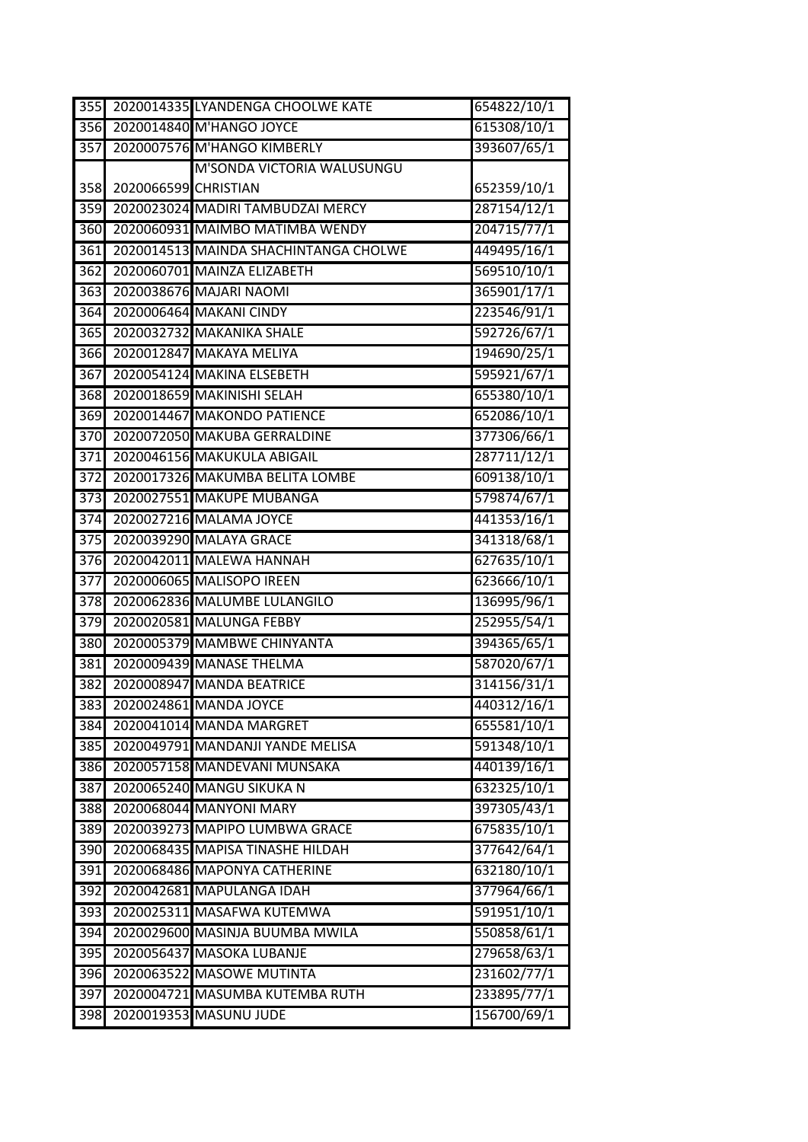| 355              |                      | 2020014335 LYANDENGA CHOOLWE KATE     | 654822/10/1 |
|------------------|----------------------|---------------------------------------|-------------|
| 356 <b>I</b>     |                      | 2020014840 M'HANGO JOYCE              | 615308/10/1 |
| 357              |                      | 2020007576 M'HANGO KIMBERLY           | 393607/65/1 |
|                  |                      | M'SONDA VICTORIA WALUSUNGU            |             |
| 358              | 2020066599 CHRISTIAN |                                       | 652359/10/1 |
| 359              |                      | 2020023024 MADIRI TAMBUDZAI MERCY     | 287154/12/1 |
| 360              |                      | 2020060931 MAIMBO MATIMBA WENDY       | 204715/77/1 |
| 361              |                      | 2020014513 MAINDA SHACHINTANGA CHOLWE | 449495/16/1 |
| 362              |                      | 2020060701 MAINZA ELIZABETH           | 569510/10/1 |
| 363              |                      | 2020038676 MAJARI NAOMI               | 365901/17/1 |
| 364              |                      | 2020006464 MAKANI CINDY               | 223546/91/1 |
| 365              |                      | 2020032732 MAKANIKA SHALE             | 592726/67/1 |
| $\overline{3}66$ |                      | 2020012847 MAKAYA MELIYA              | 194690/25/1 |
| 367              |                      | 2020054124 MAKINA ELSEBETH            | 595921/67/1 |
| 368              |                      | 2020018659 MAKINISHI SELAH            | 655380/10/1 |
| 369              |                      | 2020014467 MAKONDO PATIENCE           | 652086/10/1 |
| 370              |                      | 2020072050 MAKUBA GERRALDINE          | 377306/66/1 |
| 371              |                      | 2020046156 MAKUKULA ABIGAIL           | 287711/12/1 |
| 372              |                      | 2020017326 MAKUMBA BELITA LOMBE       | 609138/10/1 |
| 373              |                      | 2020027551 MAKUPE MUBANGA             | 579874/67/1 |
| 374              |                      | 2020027216 MALAMA JOYCE               | 441353/16/1 |
| 375              |                      | 2020039290 MALAYA GRACE               | 341318/68/1 |
| 376              |                      | 2020042011 MALEWA HANNAH              | 627635/10/1 |
| 377              |                      | 2020006065 MALISOPO IREEN             | 623666/10/1 |
| 378              |                      | 2020062836 MALUMBE LULANGILO          | 136995/96/1 |
| 379              |                      | 2020020581 MALUNGA FEBBY              | 252955/54/1 |
| 380              |                      | 2020005379 MAMBWE CHINYANTA           | 394365/65/1 |
| 381              |                      | 2020009439 MANASE THELMA              | 587020/67/1 |
| 382              |                      | 2020008947 MANDA BEATRICE             | 314156/31/1 |
|                  |                      | 383 2020024861 MANDA JOYCE            | 440312/16/1 |
| 384              |                      | 2020041014 MANDA MARGRET              | 655581/10/1 |
| 385              |                      | 2020049791 MANDANJI YANDE MELISA      | 591348/10/1 |
| 386              |                      | 2020057158 MANDEVANI MUNSAKA          | 440139/16/1 |
| 387              |                      | 2020065240 MANGU SIKUKA N             | 632325/10/1 |
| 388              |                      | 2020068044 MANYONI MARY               | 397305/43/1 |
| 389              |                      | 2020039273 MAPIPO LUMBWA GRACE        | 675835/10/1 |
| 390              |                      | 2020068435 MAPISA TINASHE HILDAH      | 377642/64/1 |
| 391              |                      | 2020068486 MAPONYA CATHERINE          | 632180/10/1 |
| 392              |                      | 2020042681 MAPULANGA IDAH             | 377964/66/1 |
| 393              |                      | 2020025311 MASAFWA KUTEMWA            | 591951/10/1 |
| 394              |                      | 2020029600 MASINJA BUUMBA MWILA       | 550858/61/1 |
| 395              |                      | 2020056437 MASOKA LUBANJE             | 279658/63/1 |
| 396              |                      | 2020063522 MASOWE MUTINTA             | 231602/77/1 |
| 397              |                      | 2020004721 MASUMBA KUTEMBA RUTH       | 233895/77/1 |
| 398              |                      | 2020019353 MASUNU JUDE                | 156700/69/1 |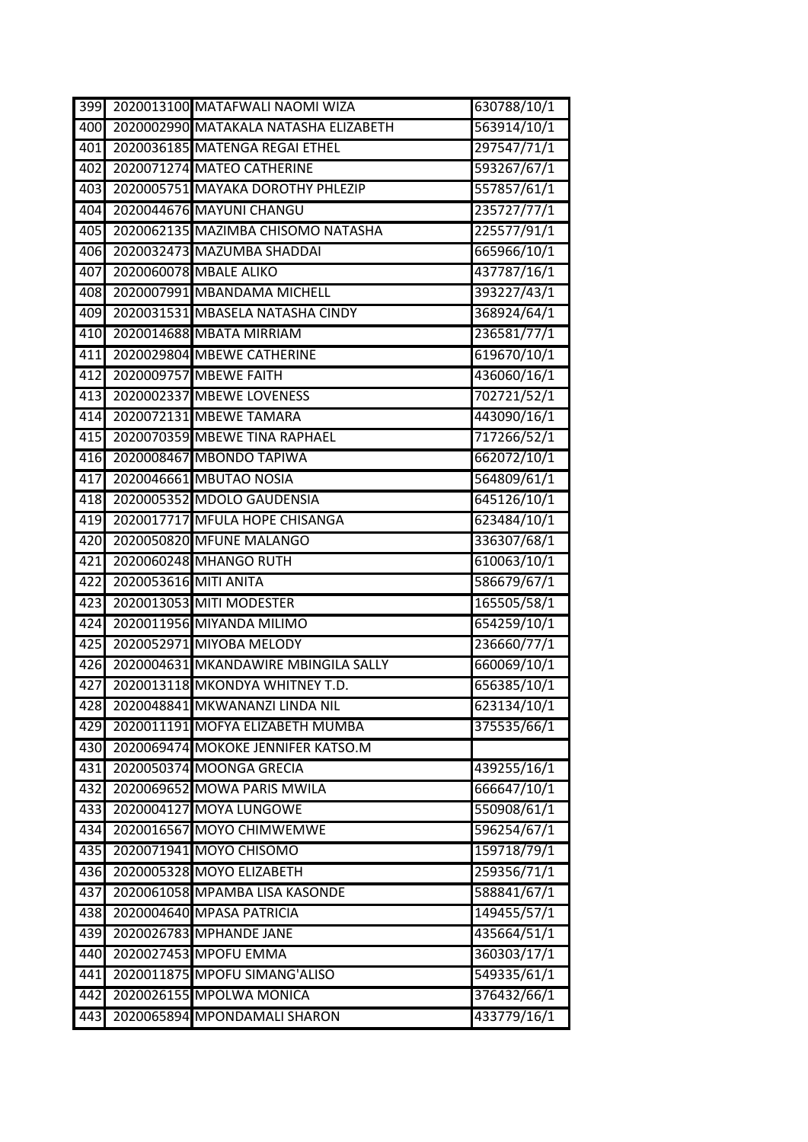| 399 |                       | 2020013100 MATAFWALI NAOMI WIZA       | 630788/10/1 |
|-----|-----------------------|---------------------------------------|-------------|
| 400 |                       | 2020002990 MATAKALA NATASHA ELIZABETH | 563914/10/1 |
| 401 |                       | 2020036185 MATENGA REGAI ETHEL        | 297547/71/1 |
| 402 |                       | 2020071274 MATEO CATHERINE            | 593267/67/1 |
| 403 |                       | 2020005751 MAYAKA DOROTHY PHLEZIP     | 557857/61/1 |
| 404 |                       | 2020044676 MAYUNI CHANGU              | 235727/77/1 |
| 405 |                       | 2020062135 MAZIMBA CHISOMO NATASHA    | 225577/91/1 |
| 406 |                       | 2020032473 MAZUMBA SHADDAI            | 665966/10/1 |
| 407 |                       | 2020060078 MBALE ALIKO                | 437787/16/1 |
| 408 |                       | 2020007991 MBANDAMA MICHELL           | 393227/43/1 |
| 409 |                       | 2020031531 MBASELA NATASHA CINDY      | 368924/64/1 |
| 410 |                       | 2020014688 MBATA MIRRIAM              | 236581/77/1 |
| 411 |                       | 2020029804 MBEWE CATHERINE            | 619670/10/1 |
| 412 |                       | 2020009757 MBEWE FAITH                | 436060/16/1 |
| 413 |                       | 2020002337 MBEWE LOVENESS             | 702721/52/1 |
| 414 |                       | 2020072131 MBEWE TAMARA               | 443090/16/1 |
| 415 |                       | 2020070359 MBEWE TINA RAPHAEL         | 717266/52/1 |
| 416 |                       | 2020008467 MBONDO TAPIWA              | 662072/10/1 |
| 417 |                       | 2020046661 MBUTAO NOSIA               | 564809/61/1 |
| 418 |                       | 2020005352 MDOLO GAUDENSIA            | 645126/10/1 |
| 419 |                       | 2020017717 MFULA HOPE CHISANGA        | 623484/10/1 |
| 420 |                       | 2020050820 MFUNE MALANGO              | 336307/68/1 |
| 421 |                       | 2020060248 MHANGO RUTH                | 610063/10/1 |
| 422 | 2020053616 MITI ANITA |                                       | 586679/67/1 |
| 423 |                       | 2020013053 MITI MODESTER              | 165505/58/1 |
| 424 |                       | 2020011956 MIYANDA MILIMO             | 654259/10/1 |
| 425 |                       | 2020052971 MIYOBA MELODY              | 236660/77/1 |
| 426 |                       | 2020004631 MKANDAWIRE MBINGILA SALLY  | 660069/10/1 |
| 427 |                       | 2020013118 MKONDYA WHITNEY T.D.       | 656385/10/1 |
| 428 |                       | 2020048841 MKWANANZI LINDA NIL        | 623134/10/1 |
| 429 |                       | 2020011191 MOFYA ELIZABETH MUMBA      | 375535/66/1 |
| 430 |                       | 2020069474 MOKOKE JENNIFER KATSO.M    |             |
| 431 |                       | 2020050374 MOONGA GRECIA              | 439255/16/1 |
| 432 |                       | 2020069652 MOWA PARIS MWILA           | 666647/10/1 |
| 433 |                       | 2020004127 MOYA LUNGOWE               | 550908/61/1 |
| 434 |                       | 2020016567 MOYO CHIMWEMWE             | 596254/67/1 |
| 435 |                       | 2020071941 MOYO CHISOMO               | 159718/79/1 |
| 436 |                       | 2020005328 MOYO ELIZABETH             | 259356/71/1 |
| 437 |                       | 2020061058 MPAMBA LISA KASONDE        | 588841/67/1 |
| 438 |                       | 2020004640 MPASA PATRICIA             | 149455/57/1 |
| 439 |                       | 2020026783 MPHANDE JANE               | 435664/51/1 |
| 440 |                       | 2020027453 MPOFU EMMA                 | 360303/17/1 |
| 441 |                       | 2020011875 MPOFU SIMANG'ALISO         | 549335/61/1 |
| 442 |                       | 2020026155 MPOLWA MONICA              | 376432/66/1 |
| 443 |                       | 2020065894 MPONDAMALI SHARON          | 433779/16/1 |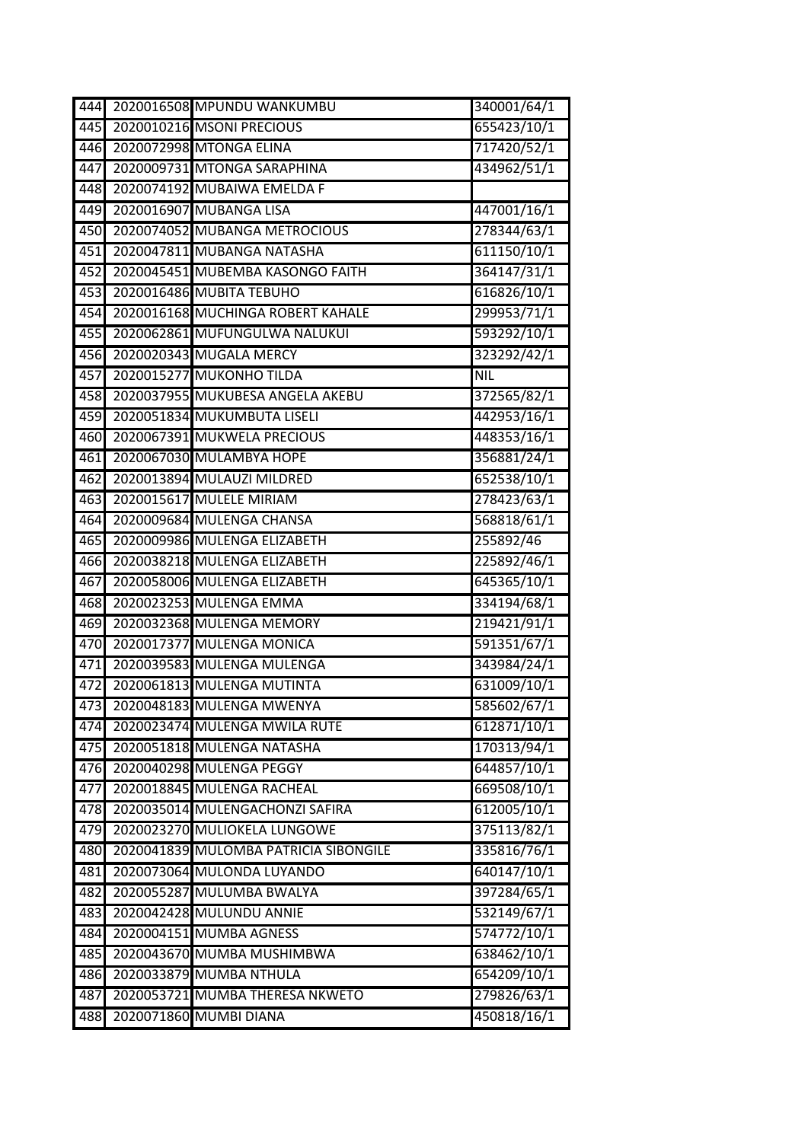| 444              | 2020016508 MPUNDU WANKUMBU            | 340001/64/1 |
|------------------|---------------------------------------|-------------|
| 445              | 2020010216 MSONI PRECIOUS             | 655423/10/1 |
| 446              | 2020072998 MTONGA ELINA               | 717420/52/1 |
| 447              | 2020009731 MTONGA SARAPHINA           | 434962/51/1 |
| 448              | 2020074192 MUBAIWA EMELDA F           |             |
| 449              | 2020016907 MUBANGA LISA               | 447001/16/1 |
| 450              | 2020074052 MUBANGA METROCIOUS         | 278344/63/1 |
| 451              | 2020047811 MUBANGA NATASHA            | 611150/10/1 |
| 452              | 2020045451 MUBEMBA KASONGO FAITH      | 364147/31/1 |
| 453              | 2020016486 MUBITA TEBUHO              | 616826/10/1 |
| 454              | 2020016168 MUCHINGA ROBERT KAHALE     | 299953/71/1 |
| 455              | 2020062861 MUFUNGULWA NALUKUI         | 593292/10/1 |
| 456              | 2020020343 MUGALA MERCY               | 323292/42/1 |
| 457              | 2020015277 MUKONHO TILDA              | <b>NIL</b>  |
| 458              | 2020037955 MUKUBESA ANGELA AKEBU      | 372565/82/1 |
| 459              | 2020051834 MUKUMBUTA LISELI           | 442953/16/1 |
| 460              | 2020067391 MUKWELA PRECIOUS           | 448353/16/1 |
| 461              | 2020067030 MULAMBYA HOPE              | 356881/24/1 |
| 462              | 2020013894 MULAUZI MILDRED            | 652538/10/1 |
| 463              | 2020015617 MULELE MIRIAM              | 278423/63/1 |
| 464              | 2020009684 MULENGA CHANSA             | 568818/61/1 |
| 465              | 2020009986 MULENGA ELIZABETH          | 255892/46   |
| 466              | 2020038218 MULENGA ELIZABETH          | 225892/46/1 |
| 467              | 2020058006 MULENGA ELIZABETH          | 645365/10/1 |
| 468              | 2020023253 MULENGA EMMA               | 334194/68/1 |
| 469              | 2020032368 MULENGA MEMORY             | 219421/91/1 |
| 470              | 2020017377 MULENGA MONICA             | 591351/67/1 |
| 471              | 2020039583 MULENGA MULENGA            | 343984/24/1 |
| $\overline{472}$ | 2020061813 MULENGA MUTINTA            | 631009/10/1 |
| 473              | 2020048183 MULENGA MWENYA             | 585602/67/1 |
| 474              | 2020023474 MULENGA MWILA RUTE         | 612871/10/1 |
| 475              | 2020051818 MULENGA NATASHA            | 170313/94/1 |
| 476              | 2020040298 MULENGA PEGGY              | 644857/10/1 |
| 477              | 2020018845 MULENGA RACHEAL            | 669508/10/1 |
| 478              | 2020035014 MULENGACHONZI SAFIRA       | 612005/10/1 |
| 479              | 2020023270 MULIOKELA LUNGOWE          | 375113/82/1 |
| 480              | 2020041839 MULOMBA PATRICIA SIBONGILE | 335816/76/1 |
| 481              | 2020073064 MULONDA LUYANDO            | 640147/10/1 |
| 482              | 2020055287 MULUMBA BWALYA             | 397284/65/1 |
| 483              | 2020042428 MULUNDU ANNIE              | 532149/67/1 |
| 484              | 2020004151 MUMBA AGNESS               | 574772/10/1 |
| 485              | 2020043670 MUMBA MUSHIMBWA            | 638462/10/1 |
| 486              | 2020033879 MUMBA NTHULA               | 654209/10/1 |
| 487              | 2020053721 MUMBA THERESA NKWETO       | 279826/63/1 |
| 488              | 2020071860 MUMBI DIANA                | 450818/16/1 |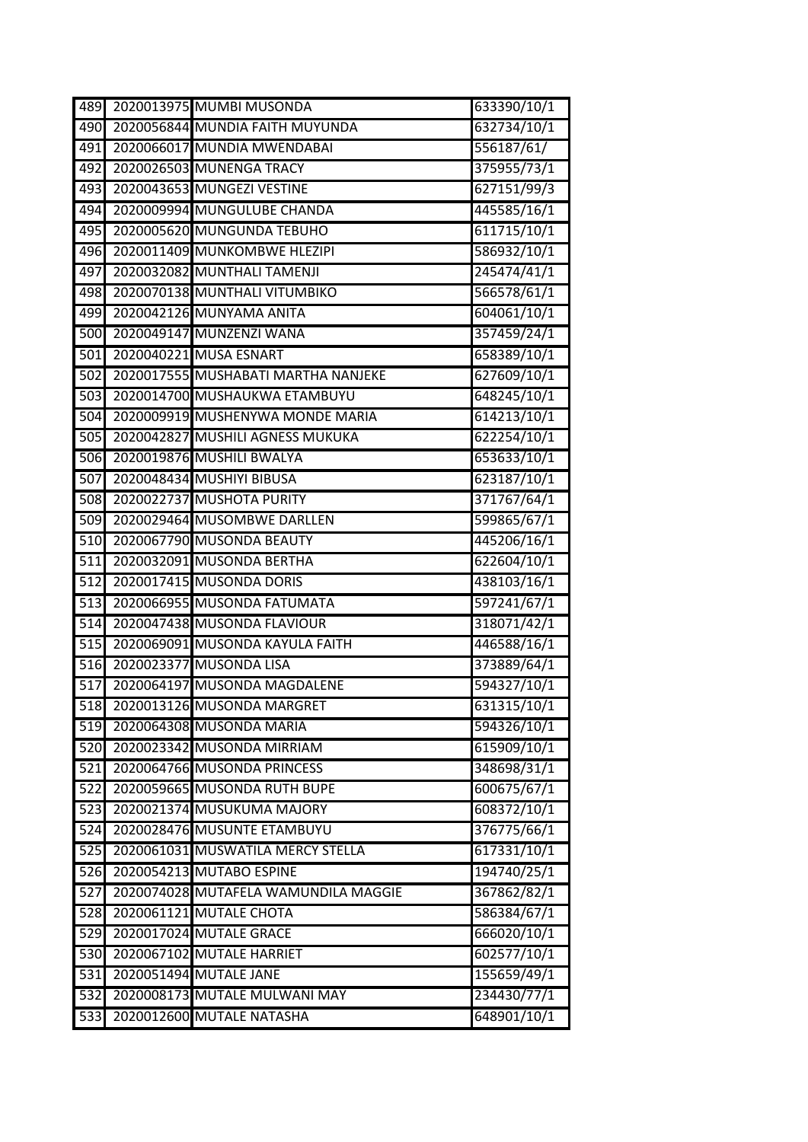| 489              | 2020013975 MUMBI MUSONDA             | 633390/10/1 |
|------------------|--------------------------------------|-------------|
| 490              | 2020056844 MUNDIA FAITH MUYUNDA      | 632734/10/1 |
| 491              | 2020066017 MUNDIA MWENDABAI          | 556187/61/  |
| 492              | 2020026503 MUNENGA TRACY             | 375955/73/1 |
| 493              | 2020043653 MUNGEZI VESTINE           | 627151/99/3 |
| 494              | 2020009994 MUNGULUBE CHANDA          | 445585/16/1 |
| 495              | 2020005620 MUNGUNDA TEBUHO           | 611715/10/1 |
| 496              | 2020011409 MUNKOMBWE HLEZIPI         | 586932/10/1 |
| 497              | 2020032082 MUNTHALI TAMENJI          | 245474/41/1 |
| 498              | 2020070138 MUNTHALI VITUMBIKO        | 566578/61/1 |
| 499              | 2020042126 MUNYAMA ANITA             | 604061/10/1 |
| 500              | 2020049147 MUNZENZI WANA             | 357459/24/1 |
| 501              | 2020040221 MUSA ESNART               | 658389/10/1 |
| 502              | 2020017555 MUSHABATI MARTHA NANJEKE  | 627609/10/1 |
| 503              | 2020014700 MUSHAUKWA ETAMBUYU        | 648245/10/1 |
| 504              | 2020009919 MUSHENYWA MONDE MARIA     | 614213/10/1 |
| 505              | 2020042827 MUSHILI AGNESS MUKUKA     | 622254/10/1 |
| 506              | 2020019876 MUSHILI BWALYA            | 653633/10/1 |
| 507              | 2020048434 MUSHIYI BIBUSA            | 623187/10/1 |
| 508              | 2020022737 MUSHOTA PURITY            | 371767/64/1 |
| 509              | 2020029464 MUSOMBWE DARLLEN          | 599865/67/1 |
| 510              | 2020067790 MUSONDA BEAUTY            | 445206/16/1 |
| 511              | 2020032091 MUSONDA BERTHA            | 622604/10/1 |
| 512              | 2020017415 MUSONDA DORIS             | 438103/16/1 |
| 513              | 2020066955 MUSONDA FATUMATA          | 597241/67/1 |
| 514              | 2020047438 MUSONDA FLAVIOUR          | 318071/42/1 |
| 515              | 2020069091 MUSONDA KAYULA FAITH      | 446588/16/1 |
| 516              | 2020023377 MUSONDA LISA              | 373889/64/1 |
| 517              | 2020064197 MUSONDA MAGDALENE         | 594327/10/1 |
| 518              | 2020013126 MUSONDA MARGRET           | 631315/10/1 |
| 519              | 2020064308 MUSONDA MARIA             | 594326/10/1 |
| 520              | 2020023342 MUSONDA MIRRIAM           | 615909/10/1 |
| 521              | 2020064766 MUSONDA PRINCESS          | 348698/31/1 |
| 522              | 2020059665 MUSONDA RUTH BUPE         | 600675/67/1 |
| $\overline{523}$ | 2020021374 MUSUKUMA MAJORY           | 608372/10/1 |
| 524              | 2020028476 MUSUNTE ETAMBUYU          | 376775/66/1 |
| 525              | 2020061031 MUSWATILA MERCY STELLA    | 617331/10/1 |
| 526              | 2020054213 MUTABO ESPINE             | 194740/25/1 |
| 527              | 2020074028 MUTAFELA WAMUNDILA MAGGIE | 367862/82/1 |
| 528              | 2020061121 MUTALE CHOTA              | 586384/67/1 |
| 529              | 2020017024 MUTALE GRACE              | 666020/10/1 |
| 530              | 2020067102 MUTALE HARRIET            | 602577/10/1 |
| 531              | 2020051494 MUTALE JANE               | 155659/49/1 |
| 532              | 2020008173 MUTALE MULWANI MAY        | 234430/77/1 |
| 533              | 2020012600 MUTALE NATASHA            | 648901/10/1 |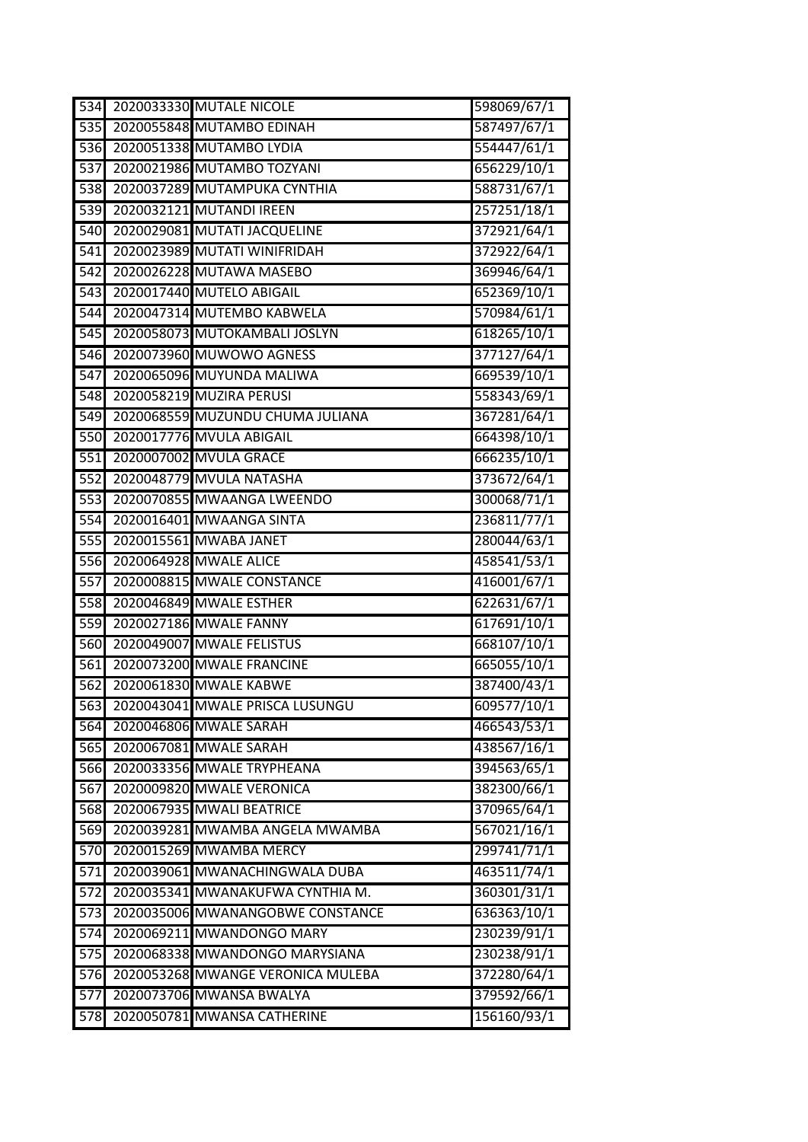| 534              | <b>2020033330 MUTALE NICOLE</b>   | 598069/67/1 |
|------------------|-----------------------------------|-------------|
| $\overline{535}$ | 2020055848 MUTAMBO EDINAH         | 587497/67/1 |
| 536              | 2020051338 MUTAMBO LYDIA          | 554447/61/1 |
| 537              | 2020021986 MUTAMBO TOZYANI        | 656229/10/1 |
| 538              | 2020037289 MUTAMPUKA CYNTHIA      | 588731/67/1 |
| 539              | 2020032121 MUTANDI IREEN          | 257251/18/1 |
| 540              | 2020029081 MUTATI JACQUELINE      | 372921/64/1 |
| 541              | 2020023989 MUTATI WINIFRIDAH      | 372922/64/1 |
| 542              | 2020026228 MUTAWA MASEBO          | 369946/64/1 |
| 543              | 2020017440 MUTELO ABIGAIL         | 652369/10/1 |
| 544              | 2020047314 MUTEMBO KABWELA        | 570984/61/1 |
| 545              | 2020058073 MUTOKAMBALI JOSLYN     | 618265/10/1 |
| 546              | 2020073960 MUWOWO AGNESS          | 377127/64/1 |
| 547              | 2020065096 MUYUNDA MALIWA         | 669539/10/1 |
| 548              | 2020058219 MUZIRA PERUSI          | 558343/69/1 |
| 549              | 2020068559 MUZUNDU CHUMA JULIANA  | 367281/64/1 |
| 550              | 2020017776 MVULA ABIGAIL          | 664398/10/1 |
| 551              | 2020007002 MVULA GRACE            | 666235/10/1 |
| 552              | 2020048779 MVULA NATASHA          | 373672/64/1 |
| 553              | 2020070855 MWAANGA LWEENDO        | 300068/71/1 |
| 554              | 2020016401 MWAANGA SINTA          | 236811/77/1 |
| 555              | 2020015561 MWABA JANET            | 280044/63/1 |
| 556              | 2020064928 MWALE ALICE            | 458541/53/1 |
| 557              | 2020008815 MWALE CONSTANCE        | 416001/67/1 |
| 558              | 2020046849 MWALE ESTHER           | 622631/67/1 |
| 559              | 2020027186 MWALE FANNY            | 617691/10/1 |
| 560              | 2020049007 MWALE FELISTUS         | 668107/10/1 |
| 561              | 2020073200 MWALE FRANCINE         | 665055/10/1 |
| 562              | 2020061830 MWALE KABWE            | 387400/43/1 |
| 563              | 2020043041 MWALE PRISCA LUSUNGU   | 609577/10/1 |
| 564              | 2020046806 MWALE SARAH            | 466543/53/1 |
| 565              | 2020067081 MWALE SARAH            | 438567/16/1 |
| 566              | 2020033356 MWALE TRYPHEANA        | 394563/65/1 |
| 567              | 2020009820 MWALE VERONICA         | 382300/66/1 |
| 568              | 2020067935 MWALI BEATRICE         | 370965/64/1 |
| 569              | 2020039281 MWAMBA ANGELA MWAMBA   | 567021/16/1 |
| 570              | 2020015269 MWAMBA MERCY           | 299741/71/1 |
| 571              | 2020039061 MWANACHINGWALA DUBA    | 463511/74/1 |
| $\overline{572}$ | 2020035341 MWANAKUFWA CYNTHIA M.  | 360301/31/1 |
| 573              | 2020035006 MWANANGOBWE CONSTANCE  | 636363/10/1 |
| 574              | 2020069211 MWANDONGO MARY         | 230239/91/1 |
| 575              | 2020068338 MWANDONGO MARYSIANA    | 230238/91/1 |
| 576              | 2020053268 MWANGE VERONICA MULEBA | 372280/64/1 |
| 577              | 2020073706 MWANSA BWALYA          | 379592/66/1 |
| 578              | 2020050781 MWANSA CATHERINE       | 156160/93/1 |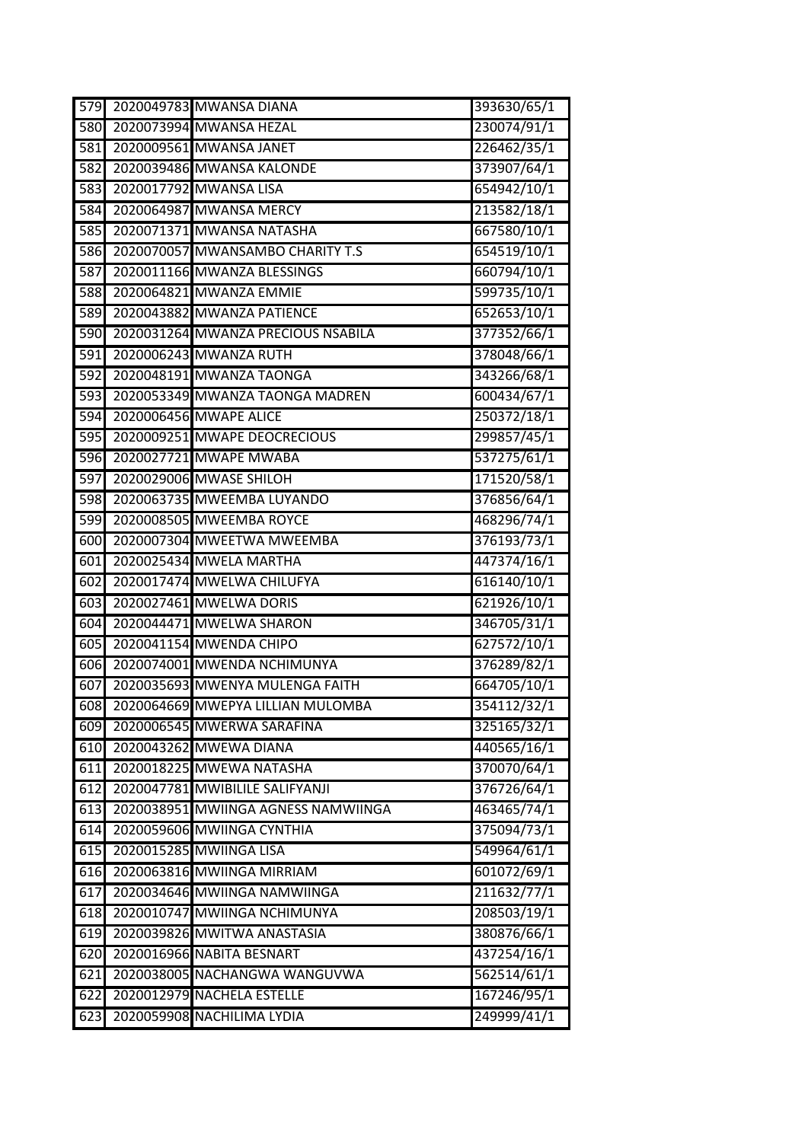| 579 | 2020049783 MWANSA DIANA               | 393630/65/1 |
|-----|---------------------------------------|-------------|
| 580 | 2020073994 MWANSA HEZAL               | 230074/91/1 |
| 581 | 2020009561 MWANSA JANET               | 226462/35/1 |
| 582 | 2020039486 MWANSA KALONDE             | 373907/64/1 |
| 583 | 2020017792 MWANSA LISA                | 654942/10/1 |
| 584 | 2020064987 MWANSA MERCY               | 213582/18/1 |
| 585 | 2020071371 MWANSA NATASHA             | 667580/10/1 |
| 586 | 2020070057 MWANSAMBO CHARITY T.S      | 654519/10/1 |
| 587 | 2020011166 MWANZA BLESSINGS           | 660794/10/1 |
| 588 | 2020064821 MWANZA EMMIE               | 599735/10/1 |
| 589 | 2020043882 MWANZA PATIENCE            | 652653/10/1 |
| 590 | 2020031264 MWANZA PRECIOUS NSABILA    | 377352/66/1 |
| 591 | 2020006243 MWANZA RUTH                | 378048/66/1 |
| 592 | 2020048191 MWANZA TAONGA              | 343266/68/1 |
| 593 | 2020053349 MWANZA TAONGA MADREN       | 600434/67/1 |
| 594 | 2020006456 MWAPE ALICE                | 250372/18/1 |
| 595 | 2020009251 MWAPE DEOCRECIOUS          | 299857/45/1 |
| 596 | 2020027721 MWAPE MWABA                | 537275/61/1 |
| 597 | 2020029006 MWASE SHILOH               | 171520/58/1 |
| 598 | 2020063735 MWEEMBA LUYANDO            | 376856/64/1 |
| 599 | 2020008505 MWEEMBA ROYCE              | 468296/74/1 |
| 600 | 2020007304 MWEETWA MWEEMBA            | 376193/73/1 |
| 601 | 2020025434 MWELA MARTHA               | 447374/16/1 |
| 602 | 2020017474 MWELWA CHILUFYA            | 616140/10/1 |
| 603 | 2020027461 MWELWA DORIS               | 621926/10/1 |
| 604 | 2020044471 MWELWA SHARON              | 346705/31/1 |
| 605 | 2020041154 MWENDA CHIPO               | 627572/10/1 |
| 606 | 2020074001 MWENDA NCHIMUNYA           | 376289/82/1 |
| 607 | 2020035693 MWENYA MULENGA FAITH       | 664705/10/1 |
|     | 608 2020064669 MWEPYA LILLIAN MULOMBA | 354112/32/1 |
| 609 | 2020006545 MWERWA SARAFINA            | 325165/32/1 |
| 610 | 2020043262 MWEWA DIANA                | 440565/16/1 |
| 611 | 2020018225 MWEWA NATASHA              | 370070/64/1 |
| 612 | 2020047781 MWIBILILE SALIFYANJI       | 376726/64/1 |
| 613 | 2020038951 MWIINGA AGNESS NAMWIINGA   | 463465/74/1 |
| 614 | 2020059606 MWIINGA CYNTHIA            | 375094/73/1 |
| 615 | 2020015285 MWIINGA LISA               | 549964/61/1 |
| 616 | 2020063816 MWIINGA MIRRIAM            | 601072/69/1 |
| 617 | 2020034646 MWIINGA NAMWIINGA          | 211632/77/1 |
| 618 | 2020010747 MWIINGA NCHIMUNYA          | 208503/19/1 |
| 619 | 2020039826 MWITWA ANASTASIA           | 380876/66/1 |
| 620 | 2020016966 NABITA BESNART             | 437254/16/1 |
| 621 | 2020038005 NACHANGWA WANGUVWA         | 562514/61/1 |
| 622 | 2020012979 NACHELA ESTELLE            | 167246/95/1 |
| 623 | 2020059908 NACHILIMA LYDIA            | 249999/41/1 |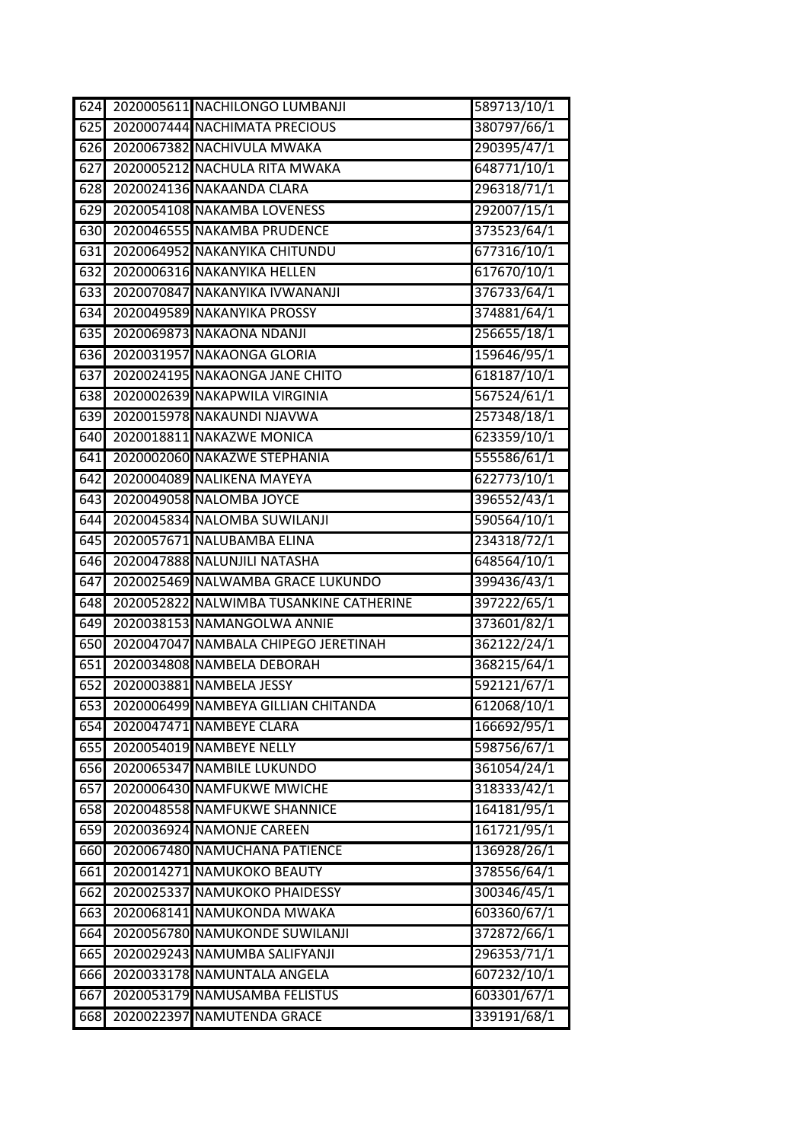| 624              | 2020005611 NACHILONGO LUMBANJI          | 589713/10/1 |
|------------------|-----------------------------------------|-------------|
| 625              | 2020007444 NACHIMATA PRECIOUS           | 380797/66/1 |
| 626              | 2020067382 NACHIVULA MWAKA              | 290395/47/1 |
| 627              | 2020005212 NACHULA RITA MWAKA           | 648771/10/1 |
| 628              | 2020024136 NAKAANDA CLARA               | 296318/71/1 |
| 629              | 2020054108 NAKAMBA LOVENESS             | 292007/15/1 |
| 630              | 2020046555 NAKAMBA PRUDENCE             | 373523/64/1 |
| 631              | 2020064952 NAKANYIKA CHITUNDU           | 677316/10/1 |
| 632              | 2020006316 NAKANYIKA HELLEN             | 617670/10/1 |
| 633              | 2020070847 NAKANYIKA IVWANANJI          | 376733/64/1 |
| 634              | 2020049589 NAKANYIKA PROSSY             | 374881/64/1 |
| 635              | 2020069873 NAKAONA NDANJI               | 256655/18/1 |
| 636              | 2020031957 NAKAONGA GLORIA              | 159646/95/1 |
| 637              | 2020024195 NAKAONGA JANE CHITO          | 618187/10/1 |
| 638              | 2020002639 NAKAPWILA VIRGINIA           | 567524/61/1 |
| 639              | 2020015978 NAKAUNDI NJAVWA              | 257348/18/1 |
| 640              | 2020018811 NAKAZWE MONICA               | 623359/10/1 |
| 641              | 2020002060 NAKAZWE STEPHANIA            | 555586/61/1 |
| 642              | 2020004089 NALIKENA MAYEYA              | 622773/10/1 |
| 643              | 2020049058 NALOMBA JOYCE                | 396552/43/1 |
| 644              | 2020045834 NALOMBA SUWILANJI            | 590564/10/1 |
| 645              | 2020057671 NALUBAMBA ELINA              | 234318/72/1 |
| 646              | 2020047888 NALUNJILI NATASHA            | 648564/10/1 |
| 647              | 2020025469 NALWAMBA GRACE LUKUNDO       | 399436/43/1 |
| 648              | 2020052822 NALWIMBA TUSANKINE CATHERINE | 397222/65/1 |
| 649              | 2020038153 NAMANGOLWA ANNIE             | 373601/82/1 |
| 650              | 2020047047 NAMBALA CHIPEGO JERETINAH    | 362122/24/1 |
| $\overline{651}$ | 2020034808 NAMBELA DEBORAH              | 368215/64/1 |
| 652              | 2020003881 NAMBELA JESSY                | 592121/67/1 |
| 653              | 2020006499 NAMBEYA GILLIAN CHITANDA     | 612068/10/1 |
| 654              | 2020047471 NAMBEYE CLARA                | 166692/95/1 |
| 655              | 2020054019 NAMBEYE NELLY                | 598756/67/1 |
| 656              | 2020065347 NAMBILE LUKUNDO              | 361054/24/1 |
| 657              | 2020006430 NAMFUKWE MWICHE              | 318333/42/1 |
| 658              | 2020048558 NAMFUKWE SHANNICE            | 164181/95/1 |
| 659              | 2020036924 NAMONJE CAREEN               | 161721/95/1 |
| 660              | 2020067480 NAMUCHANA PATIENCE           | 136928/26/1 |
| 661              | 2020014271 NAMUKOKO BEAUTY              | 378556/64/1 |
| 662              | 2020025337 NAMUKOKO PHAIDESSY           | 300346/45/1 |
| 663              | 2020068141 NAMUKONDA MWAKA              | 603360/67/1 |
| 664              | 2020056780 NAMUKONDE SUWILANJI          | 372872/66/1 |
| 665              | 2020029243 NAMUMBA SALIFYANJI           | 296353/71/1 |
| 666              | 2020033178 NAMUNTALA ANGELA             | 607232/10/1 |
| 667              | 2020053179 NAMUSAMBA FELISTUS           | 603301/67/1 |
| 668              | 2020022397 NAMUTENDA GRACE              | 339191/68/1 |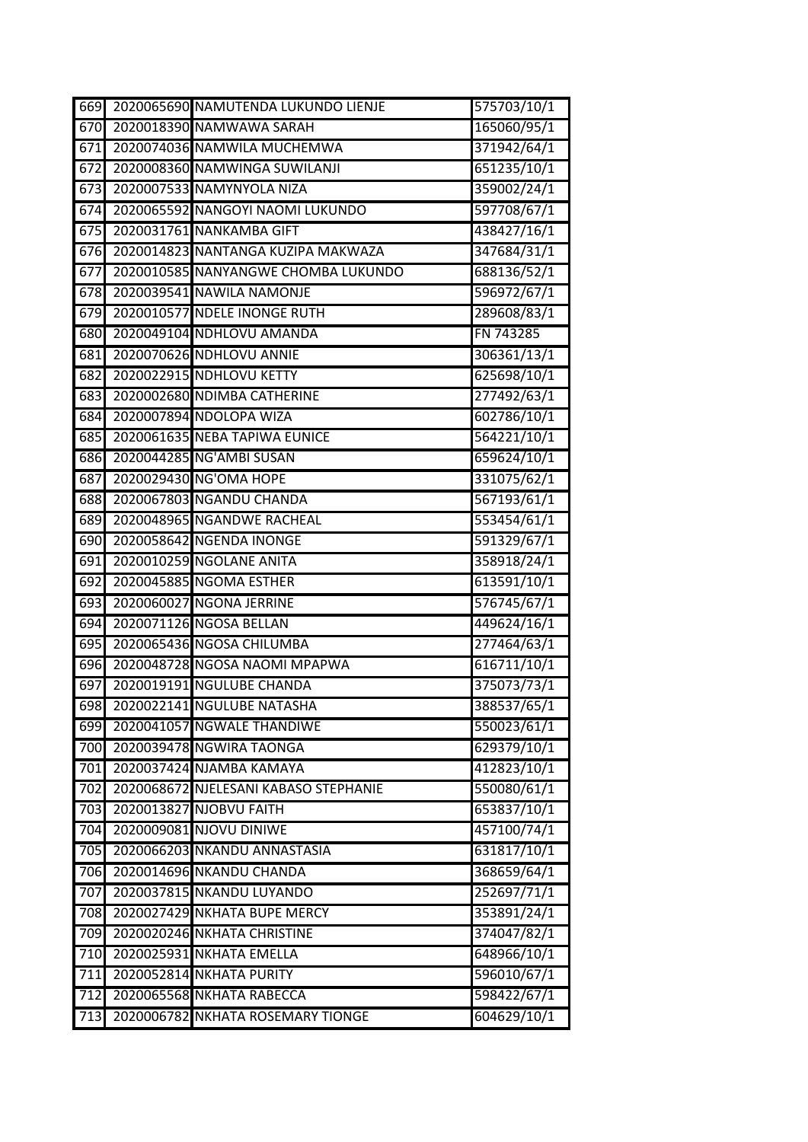| 669 | 2020065690 NAMUTENDA LUKUNDO LIENJE   | 575703/10/1         |
|-----|---------------------------------------|---------------------|
| 670 | 2020018390 NAMWAWA SARAH              | 165060/95/1         |
| 671 | 2020074036 NAMWILA MUCHEMWA           | 371942/64/1         |
| 672 | 2020008360 NAMWINGA SUWILANJI         | 651235/10/1         |
| 673 | 2020007533 NAMYNYOLA NIZA             | 359002/24/1         |
| 674 | 2020065592 NANGOYI NAOMI LUKUNDO      | 597708/67/1         |
| 675 | 2020031761 NANKAMBA GIFT              | 438427/16/1         |
| 676 | 2020014823 NANTANGA KUZIPA MAKWAZA    | 347684/31/1         |
| 677 | 2020010585 NANYANGWE CHOMBA LUKUNDO   | 688136/52/1         |
| 678 | 2020039541 NAWILA NAMONJE             | 596972/67/1         |
| 679 | 2020010577 NDELE INONGE RUTH          | 289608/83/1         |
| 680 | 2020049104 NDHLOVU AMANDA             | FN 743285           |
| 681 | 2020070626 NDHLOVU ANNIE              | 306361/13/1         |
| 682 | 2020022915 NDHLOVU KETTY              | 625698/10/1         |
| 683 | 2020002680 NDIMBA CATHERINE           | 277492/63/1         |
| 684 | 2020007894 NDOLOPA WIZA               | 602786/10/1         |
| 685 | 2020061635 NEBA TAPIWA EUNICE         | 564221/10/1         |
| 686 | 2020044285 NG'AMBI SUSAN              | 659624/10/1         |
| 687 | 2020029430 NG'OMA HOPE                | 331075/62/1         |
| 688 | 2020067803 NGANDU CHANDA              | 567193/61/1         |
| 689 | 2020048965 NGANDWE RACHEAL            | 553454/61/1         |
| 690 | 2020058642 NGENDA INONGE              | 591329/67/1         |
| 691 | 2020010259 NGOLANE ANITA              | 358918/24/1         |
| 692 | 2020045885 NGOMA ESTHER               | 613591/10/1         |
| 693 | 2020060027 NGONA JERRINE              | 576745/67/1         |
| 694 | 2020071126 NGOSA BELLAN               | 449624/16/1         |
| 695 | 2020065436 NGOSA CHILUMBA             | 277464/63/1         |
| 696 | 2020048728 NGOSA NAOMI MPAPWA         | $\frac{616711}{10}$ |
| 697 | 2020019191 NGULUBE CHANDA             | 375073/73/1         |
| 698 | 2020022141 NGULUBE NATASHA            | 388537/65/1         |
| 699 | 2020041057 NGWALE THANDIWE            | 550023/61/1         |
| 700 | 2020039478 NGWIRA TAONGA              | 629379/10/1         |
| 701 | 2020037424 NJAMBA KAMAYA              | 412823/10/1         |
| 702 | 2020068672 NJELESANI KABASO STEPHANIE | 550080/61/1         |
| 703 | 2020013827 NJOBVU FAITH               | 653837/10/1         |
| 704 | 2020009081 NJOVU DINIWE               | 457100/74/1         |
| 705 | 2020066203 NKANDU ANNASTASIA          | 631817/10/1         |
| 706 | 2020014696 NKANDU CHANDA              | 368659/64/1         |
| 707 | 2020037815 NKANDU LUYANDO             | 252697/71/1         |
| 708 | 2020027429 NKHATA BUPE MERCY          | 353891/24/1         |
| 709 | 2020020246 NKHATA CHRISTINE           | 374047/82/1         |
| 710 | 2020025931 NKHATA EMELLA              | 648966/10/1         |
| 711 | 2020052814 NKHATA PURITY              | 596010/67/1         |
| 712 | 2020065568 NKHATA RABECCA             | 598422/67/1         |
| 713 | 2020006782 NKHATA ROSEMARY TIONGE     | 604629/10/1         |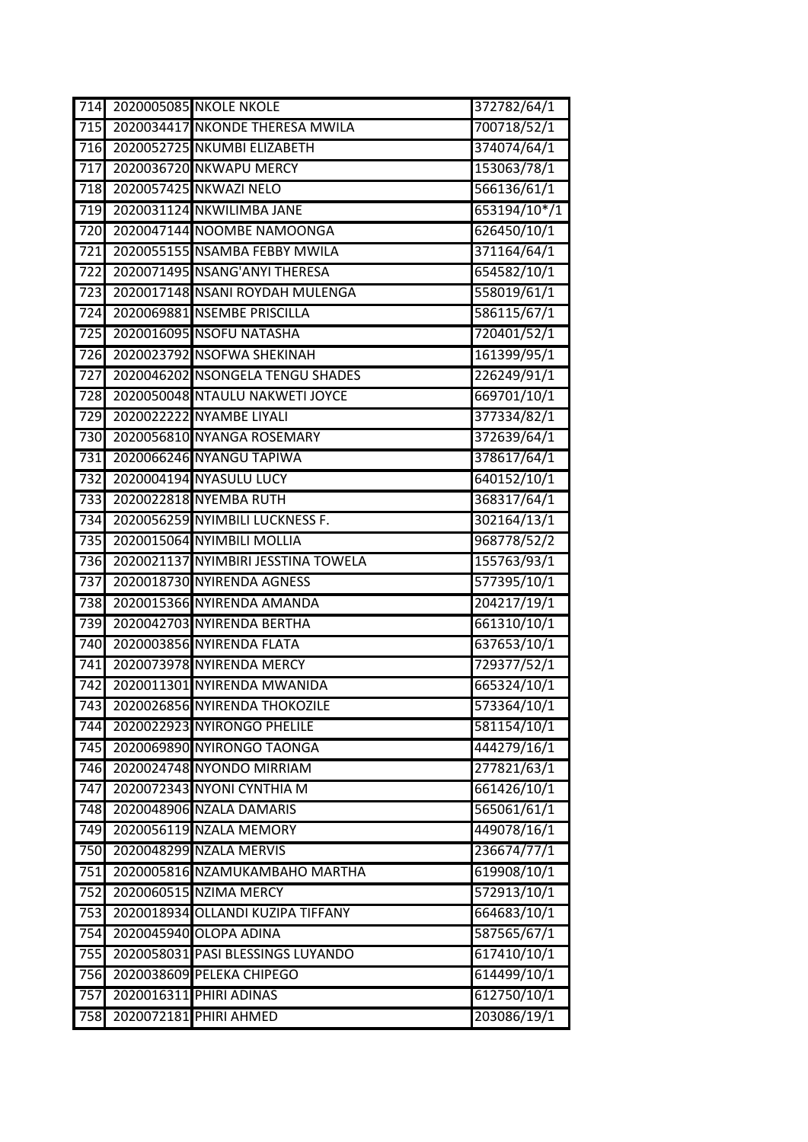| 714              | 2020005085 NKOLE NKOLE              | 372782/64/1  |
|------------------|-------------------------------------|--------------|
| $\overline{715}$ | 2020034417 NKONDE THERESA MWILA     | 700718/52/1  |
| 716              | 2020052725 NKUMBI ELIZABETH         | 374074/64/1  |
| 717              | 2020036720 NKWAPU MERCY             | 153063/78/1  |
| 718              | 2020057425 NKWAZI NELO              | 566136/61/1  |
| 719              | 2020031124 NKWILIMBA JANE           | 653194/10*/1 |
| $\overline{720}$ | 2020047144 NOOMBE NAMOONGA          | 626450/10/1  |
| $\overline{721}$ | 2020055155 NSAMBA FEBBY MWILA       | 371164/64/1  |
| $\overline{722}$ | 2020071495 NSANG'ANYI THERESA       | 654582/10/1  |
| 723              | 2020017148 NSANI ROYDAH MULENGA     | 558019/61/1  |
| 724              | 2020069881 NSEMBE PRISCILLA         | 586115/67/1  |
| 725              | 2020016095 NSOFU NATASHA            | 720401/52/1  |
| $\overline{726}$ | 2020023792 NSOFWA SHEKINAH          | 161399/95/1  |
| 727              | 2020046202 NSONGELA TENGU SHADES    | 226249/91/1  |
| 728              | 2020050048 NTAULU NAKWETI JOYCE     | 669701/10/1  |
| 729              | 2020022222 NYAMBE LIYALI            | 377334/82/1  |
| 730              | 2020056810 NYANGA ROSEMARY          | 372639/64/1  |
| 731              | 2020066246 NYANGU TAPIWA            | 378617/64/1  |
| $\overline{732}$ | 2020004194 NYASULU LUCY             | 640152/10/1  |
| $\overline{733}$ | 2020022818 NYEMBA RUTH              | 368317/64/1  |
| 734              | 2020056259 NYIMBILI LUCKNESS F.     | 302164/13/1  |
| $735$            | 2020015064 NYIMBILI MOLLIA          | 968778/52/2  |
| 736              | 2020021137 NYIMBIRI JESSTINA TOWELA | 155763/93/1  |
| 737              | 2020018730 NYIRENDA AGNESS          | 577395/10/1  |
| 738              | 2020015366 NYIRENDA AMANDA          | 204217/19/1  |
| 739              | 2020042703 NYIRENDA BERTHA          | 661310/10/1  |
| 740              | 2020003856 NYIRENDA FLATA           | 637653/10/1  |
| 741              | 2020073978 NYIRENDA MERCY           | 729377/52/1  |
| $\overline{742}$ | 2020011301 NYIRENDA MWANIDA         | 665324/10/1  |
| 743              | 2020026856 NYIRENDA THOKOZILE       | 573364/10/1  |
| 744              | 2020022923 NYIRONGO PHELILE         | 581154/10/1  |
| 745              | 2020069890 NYIRONGO TAONGA          | 444279/16/1  |
| 746              | 2020024748 NYONDO MIRRIAM           | 277821/63/1  |
| 747              | 2020072343 NYONI CYNTHIA M          | 661426/10/1  |
| 748              | 2020048906 NZALA DAMARIS            | 565061/61/1  |
| 749              | 2020056119 NZALA MEMORY             | 449078/16/1  |
| 750              | 2020048299 NZALA MERVIS             | 236674/77/1  |
| 751              | 2020005816 NZAMUKAMBAHO MARTHA      | 619908/10/1  |
| 752              | 2020060515 NZIMA MERCY              | 572913/10/1  |
| 753              | 2020018934 OLLANDI KUZIPA TIFFANY   | 664683/10/1  |
| 754              | 2020045940 OLOPA ADINA              | 587565/67/1  |
| 755              | 2020058031 PASI BLESSINGS LUYANDO   | 617410/10/1  |
| 756              | 2020038609 PELEKA CHIPEGO           | 614499/10/1  |
| 757              | 2020016311 PHIRI ADINAS             | 612750/10/1  |
| 758              | 2020072181 PHIRI AHMED              | 203086/19/1  |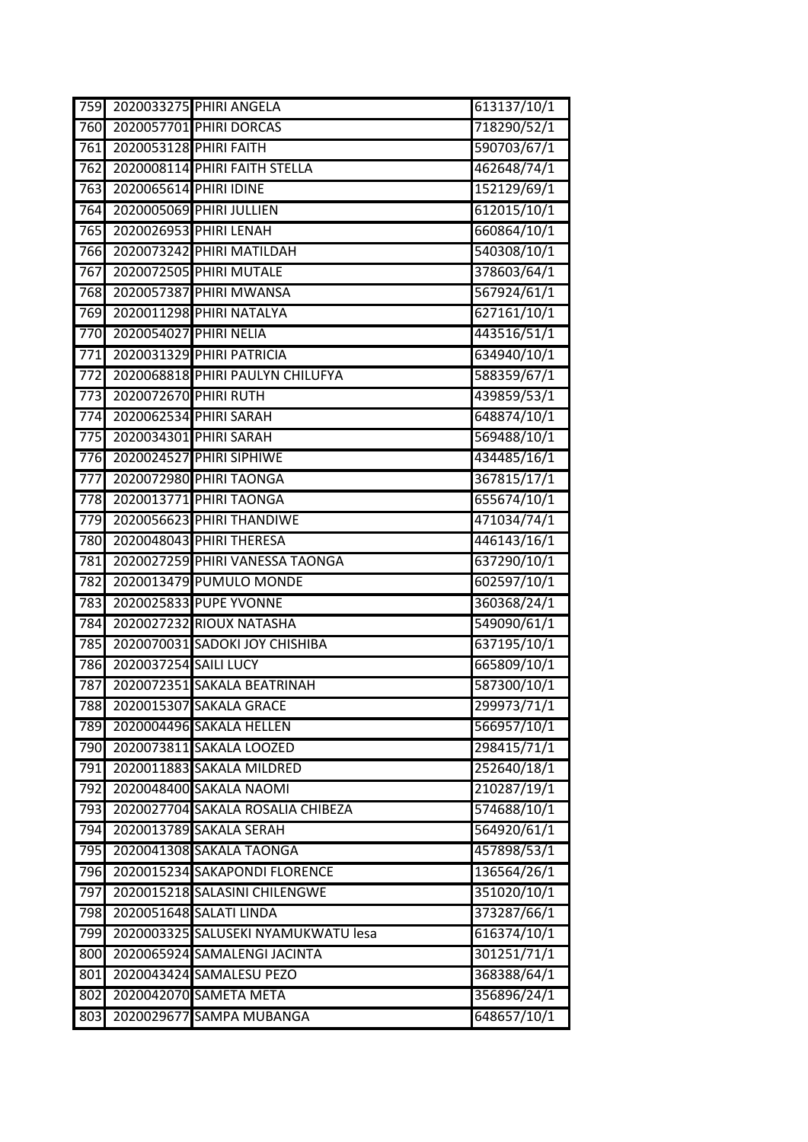| 759              |                        | 2020033275 PHIRI ANGELA             | 613137/10/1          |
|------------------|------------------------|-------------------------------------|----------------------|
| 760              |                        | 2020057701 PHIRI DORCAS             | 718290/52/1          |
| 761              | 2020053128 PHIRI FAITH |                                     | 590703/67/1          |
| 762              |                        | 2020008114 PHIRI FAITH STELLA       | 462648/74/1          |
| 763              | 2020065614 PHIRI IDINE |                                     | 152129/69/1          |
| 764              |                        | 2020005069 PHIRI JULLIEN            | 612015/10/1          |
| 765              |                        | 2020026953 PHIRI LENAH              | 660864/10/1          |
| 766              |                        | 2020073242 PHIRI MATILDAH           | 540308/10/1          |
| 767              |                        | 2020072505 PHIRI MUTALE             | 378603/64/1          |
| 768              |                        | 2020057387 PHIRI MWANSA             | 567924/61/1          |
| 769              |                        | 2020011298 PHIRI NATALYA            | 627161/10/1          |
| 770              | 2020054027 PHIRI NELIA |                                     | 443516/51/1          |
| 771              |                        | 2020031329 PHIRI PATRICIA           | 634940/10/1          |
| $\overline{772}$ |                        | 2020068818 PHIRI PAULYN CHILUFYA    | 588359/67/1          |
| 773              | 2020072670 PHIRI RUTH  |                                     | 439859/53/1          |
| 774              |                        | 2020062534 PHIRI SARAH              | 648874/10/1          |
| 775              |                        | 2020034301 PHIRI SARAH              | 569488/10/1          |
| 776              |                        | 2020024527 PHIRI SIPHIWE            | 434485/16/1          |
| 777              |                        | 2020072980 PHIRI TAONGA             | 367815/17/1          |
| 778              |                        | 2020013771 PHIRI TAONGA             | 655674/10/1          |
| 779              |                        | 2020056623 PHIRI THANDIWE           | 471034/74/1          |
| 780              |                        | 2020048043 PHIRI THERESA            | 446143/16/1          |
| 781              |                        | 2020027259 PHIRI VANESSA TAONGA     | 637290/10/1          |
| 782              |                        | 2020013479 PUMULO MONDE             | 602597/10/1          |
| 783              |                        | 2020025833 PUPE YVONNE              | 360368/24/1          |
| 784              |                        | 2020027232 RIOUX NATASHA            | 549090/61/1          |
| 785              |                        | 2020070031 SADOKI JOY CHISHIBA      | 637195/10/1          |
| 786              | 2020037254 SAILI LUCY  |                                     | 665809/10/1          |
| 787              |                        | 2020072351 SAKALA BEATRINAH         | 587300/10/1          |
| 788              |                        | 2020015307 SAKALA GRACE             | 299973/71/1          |
| 789              |                        | 2020004496 SAKALA HELLEN            | 566957/10/1          |
| 790              |                        | 2020073811 SAKALA LOOZED            | 298415/71/1          |
| 791              |                        | 2020011883 SAKALA MILDRED           | 252640/18/1          |
| 792              |                        | 2020048400 SAKALA NAOMI             | 210287/19/1          |
| 793              |                        | 2020027704 SAKALA ROSALIA CHIBEZA   | 574688/10/1          |
| 794              |                        | 2020013789 SAKALA SERAH             | 564920/61/1          |
| 795              |                        | 2020041308 SAKALA TAONGA            | 457898/53/1          |
| 796              |                        | 2020015234 SAKAPONDI FLORENCE       | 136564/26/1          |
| 797              |                        | 2020015218 SALASINI CHILENGWE       | 351020/10/1          |
| 798              |                        | 2020051648 SALATI LINDA             | 373287/66/1          |
| 799              |                        | 2020003325 SALUSEKI NYAMUKWATU lesa | 616374/10/1          |
| 800              |                        | 2020065924 SAMALENGI JACINTA        | 301251/71/1          |
| 801              |                        | 2020043424 SAMALESU PEZO            | 368388/64/1          |
| 802              |                        | 2020042070 SAMETA META              | 356896/24/1          |
| 803              |                        | 2020029677 SAMPA MUBANGA            | $\sqrt{648657/10}/1$ |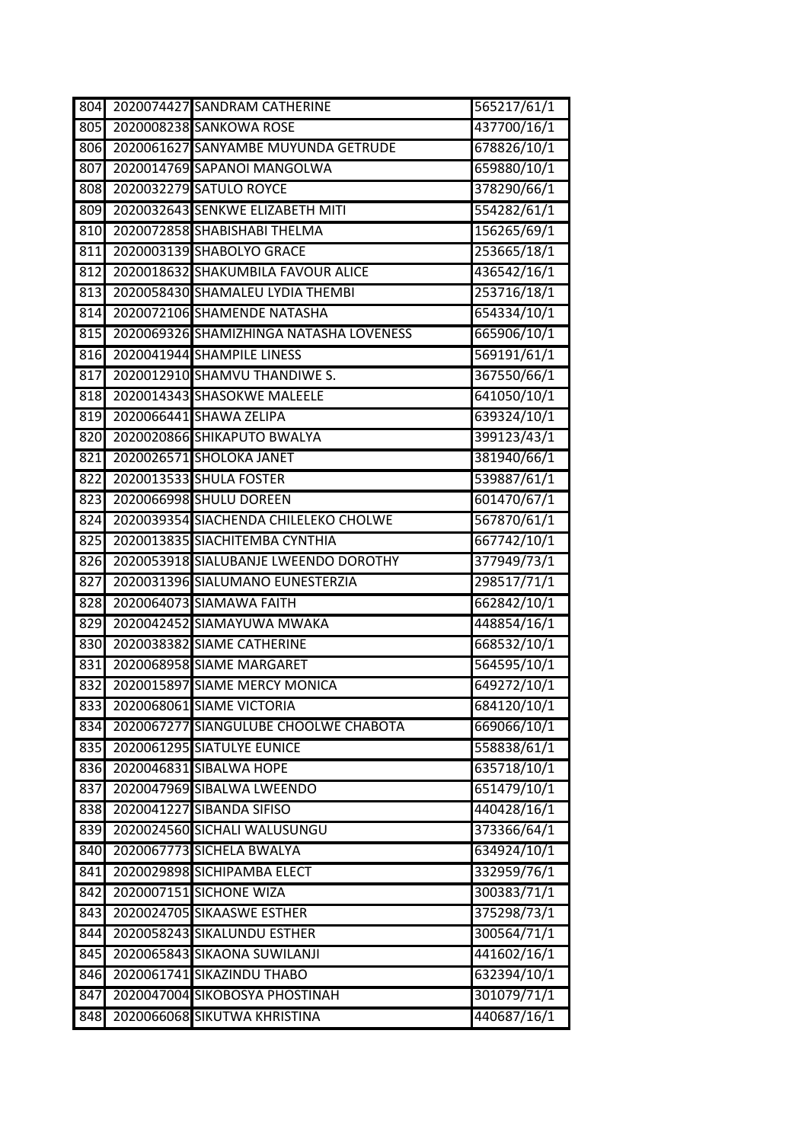| $\overline{804}$ | 2020074427 SANDRAM CATHERINE            | 565217/61/1 |
|------------------|-----------------------------------------|-------------|
| 805              | 2020008238 SANKOWA ROSE                 | 437700/16/1 |
| 806              | 2020061627 SANYAMBE MUYUNDA GETRUDE     | 678826/10/1 |
| 807              | 2020014769 SAPANOI MANGOLWA             | 659880/10/1 |
| 808              | 2020032279 SATULO ROYCE                 | 378290/66/1 |
| 809              | 2020032643 SENKWE ELIZABETH MITI        | 554282/61/1 |
| 810              | 2020072858 SHABISHABI THELMA            | 156265/69/1 |
| 811              | 2020003139 SHABOLYO GRACE               | 253665/18/1 |
| 812              | 2020018632 SHAKUMBILA FAVOUR ALICE      | 436542/16/1 |
| 813              | 2020058430 SHAMALEU LYDIA THEMBI        | 253716/18/1 |
| 814              | 2020072106 SHAMENDE NATASHA             | 654334/10/1 |
| 815              | 2020069326 SHAMIZHINGA NATASHA LOVENESS | 665906/10/1 |
| 816              | 2020041944 SHAMPILE LINESS              | 569191/61/1 |
| 817              | 2020012910 SHAMVU THANDIWE S.           | 367550/66/1 |
| 818              | 2020014343 SHASOKWE MALEELE             | 641050/10/1 |
| 819              | 2020066441 SHAWA ZELIPA                 | 639324/10/1 |
| 820              | 2020020866 SHIKAPUTO BWALYA             | 399123/43/1 |
| 821              | 2020026571 SHOLOKA JANET                | 381940/66/1 |
| 822              | 2020013533 SHULA FOSTER                 | 539887/61/1 |
| 823              | 2020066998 SHULU DOREEN                 | 601470/67/1 |
| 824              | 2020039354 SIACHENDA CHILELEKO CHOLWE   | 567870/61/1 |
| 825              | 2020013835 SIACHITEMBA CYNTHIA          | 667742/10/1 |
| 826              | 2020053918 SIALUBANJE LWEENDO DOROTHY   | 377949/73/1 |
| 827              | 2020031396 SIALUMANO EUNESTERZIA        | 298517/71/1 |
| 828              | 2020064073 SIAMAWA FAITH                | 662842/10/1 |
| 829              | 2020042452 SIAMAYUWA MWAKA              | 448854/16/1 |
| 830              | 2020038382 SIAME CATHERINE              | 668532/10/1 |
| 831              | 2020068958 SIAME MARGARET               | 564595/10/1 |
| 832              | 2020015897 SIAME MERCY MONICA           | 649272/10/1 |
| 833              | 2020068061 SIAME VICTORIA               | 684120/10/1 |
| 834              | 2020067277 SIANGULUBE CHOOLWE CHABOTA   | 669066/10/1 |
| 835              | 2020061295 SIATULYE EUNICE              | 558838/61/1 |
| 836              | 2020046831 SIBALWA HOPE                 | 635718/10/1 |
| 837              | 2020047969 SIBALWA LWEENDO              | 651479/10/1 |
| 838              | 2020041227 SIBANDA SIFISO               | 440428/16/1 |
| 839              | 2020024560 SICHALI WALUSUNGU            | 373366/64/1 |
| 840              | 2020067773 SICHELA BWALYA               | 634924/10/1 |
| 841              | 2020029898 SICHIPAMBA ELECT             | 332959/76/1 |
| 842              | 2020007151 SICHONE WIZA                 | 300383/71/1 |
| 843              | 2020024705 SIKAASWE ESTHER              | 375298/73/1 |
| 844              | 2020058243 SIKALUNDU ESTHER             | 300564/71/1 |
| 845              | 2020065843 SIKAONA SUWILANJI            | 441602/16/1 |
| 846              | 2020061741 SIKAZINDU THABO              | 632394/10/1 |
| 847              | 2020047004 SIKOBOSYA PHOSTINAH          | 301079/71/1 |
| 848              | 2020066068 SIKUTWA KHRISTINA            | 440687/16/1 |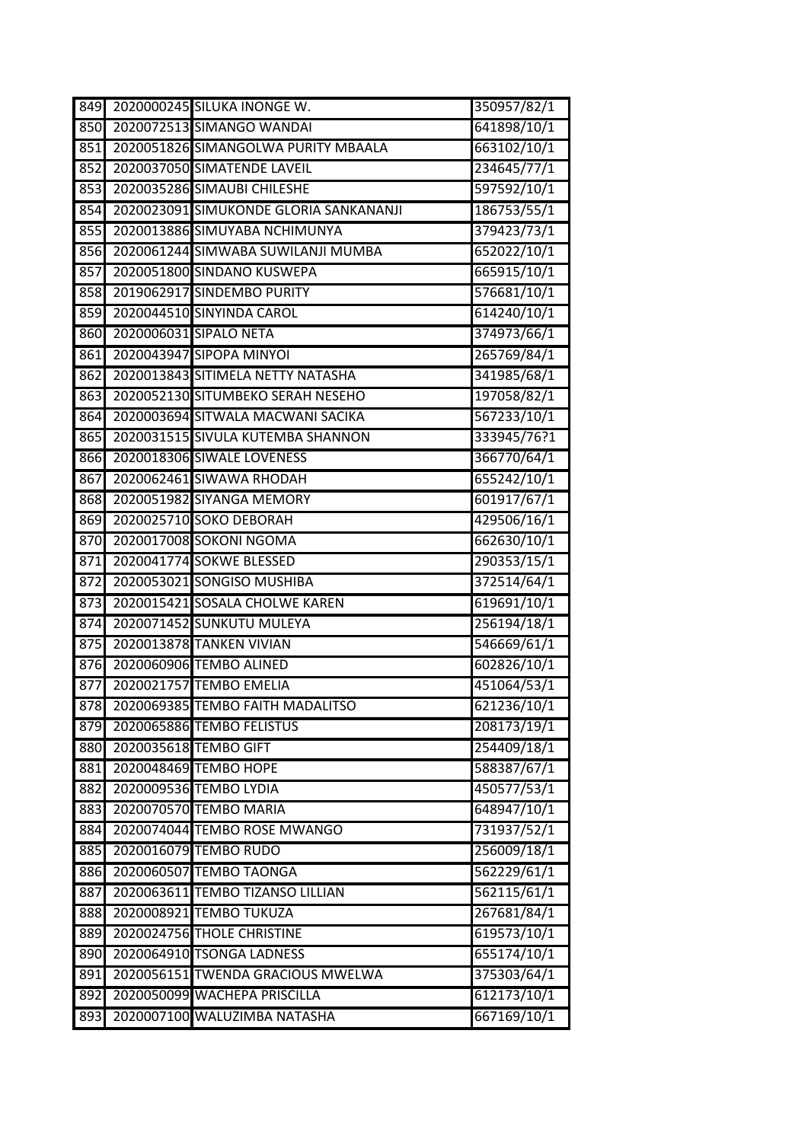| 849 |                       | 2020000245 SILUKA INONGE W.            | 350957/82/1 |
|-----|-----------------------|----------------------------------------|-------------|
| 850 |                       | 2020072513 SIMANGO WANDAI              | 641898/10/1 |
| 851 |                       | 2020051826 SIMANGOLWA PURITY MBAALA    | 663102/10/1 |
| 852 |                       | 2020037050 SIMATENDE LAVEIL            | 234645/77/1 |
| 853 |                       | 2020035286 SIMAUBI CHILESHE            | 597592/10/1 |
| 854 |                       | 2020023091 SIMUKONDE GLORIA SANKANANJI | 186753/55/1 |
| 855 |                       | 2020013886 SIMUYABA NCHIMUNYA          | 379423/73/1 |
| 856 |                       | 2020061244 SIMWABA SUWILANJI MUMBA     | 652022/10/1 |
| 857 |                       | 2020051800 SINDANO KUSWEPA             | 665915/10/1 |
| 858 |                       | 2019062917 SINDEMBO PURITY             | 576681/10/1 |
| 859 |                       | 2020044510 SINYINDA CAROL              | 614240/10/1 |
| 860 |                       | 2020006031 SIPALO NETA                 | 374973/66/1 |
| 861 |                       | 2020043947 SIPOPA MINYOI               | 265769/84/1 |
| 862 |                       | 2020013843 SITIMELA NETTY NATASHA      | 341985/68/1 |
| 863 |                       | 2020052130 SITUMBEKO SERAH NESEHO      | 197058/82/1 |
| 864 |                       | 2020003694 SITWALA MACWANI SACIKA      | 567233/10/1 |
| 865 |                       | 2020031515 SIVULA KUTEMBA SHANNON      | 333945/76?1 |
| 866 |                       | 2020018306 SIWALE LOVENESS             | 366770/64/1 |
| 867 |                       | 2020062461 SIWAWA RHODAH               | 655242/10/1 |
| 868 |                       | 2020051982 SIYANGA MEMORY              | 601917/67/1 |
| 869 |                       | 2020025710 SOKO DEBORAH                | 429506/16/1 |
| 870 |                       | 2020017008 SOKONI NGOMA                | 662630/10/1 |
| 871 |                       | 2020041774 SOKWE BLESSED               | 290353/15/1 |
| 872 |                       | 2020053021 SONGISO MUSHIBA             | 372514/64/1 |
| 873 |                       | 2020015421 SOSALA CHOLWE KAREN         | 619691/10/1 |
| 874 |                       | 2020071452 SUNKUTU MULEYA              | 256194/18/1 |
| 875 |                       | <b>2020013878 TANKEN VIVIAN</b>        | 546669/61/1 |
| 876 |                       | 2020060906 TEMBO ALINED                | 602826/10/1 |
| 877 |                       | 2020021757 TEMBO EMELIA                | 451064/53/1 |
|     |                       | 878 2020069385 TEMBO FAITH MADALITSO   | 621236/10/1 |
| 879 |                       | 2020065886 TEMBO FELISTUS              | 208173/19/1 |
| 880 | 2020035618 TEMBO GIFT |                                        | 254409/18/1 |
| 881 |                       | 2020048469 TEMBO HOPE                  | 588387/67/1 |
| 882 |                       | 2020009536 TEMBO LYDIA                 | 450577/53/1 |
| 883 |                       | 2020070570 TEMBO MARIA                 | 648947/10/1 |
| 884 |                       | 2020074044 TEMBO ROSE MWANGO           | 731937/52/1 |
| 885 |                       | 2020016079 TEMBO RUDO                  | 256009/18/1 |
| 886 |                       | 2020060507 TEMBO TAONGA                | 562229/61/1 |
| 887 |                       | 2020063611 TEMBO TIZANSO LILLIAN       | 562115/61/1 |
| 888 |                       | 2020008921 TEMBO TUKUZA                | 267681/84/1 |
| 889 |                       | 2020024756 THOLE CHRISTINE             | 619573/10/1 |
| 890 |                       | 2020064910 TSONGA LADNESS              | 655174/10/1 |
| 891 |                       | 2020056151 TWENDA GRACIOUS MWELWA      | 375303/64/1 |
| 892 |                       | 2020050099 WACHEPA PRISCILLA           | 612173/10/1 |
| 893 |                       | 2020007100 WALUZIMBA NATASHA           | 667169/10/1 |